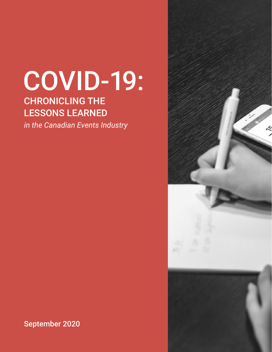# COVID-19:

# CHRONICLING THE LESSONS LEARNED

*in the Canadian Events Industry*



September 2020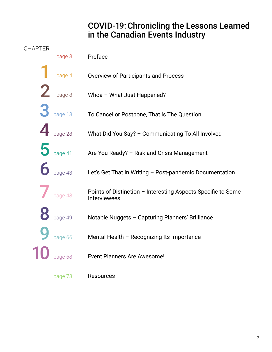### COVID-19: Chronicling the Lessons Learned in the Canadian Events Industry

#### **CHAPTER**

|                                 | page 3  | Preface                                                                      |
|---------------------------------|---------|------------------------------------------------------------------------------|
|                                 | page 4  | <b>Overview of Participants and Process</b>                                  |
| $\mathbf 2$                     | page 8  | Whoa - What Just Happened?                                                   |
| $3$ page 13                     |         | To Cancel or Postpone, That is The Question                                  |
|                                 | page 28 | What Did You Say? - Communicating To All Involved                            |
| $\overline{\mathbf{5}}$ page 41 |         | Are You Ready? - Risk and Crisis Management                                  |
| $\overline{\textbf{6}}$ page 43 |         | Let's Get That In Writing - Post-pandemic Documentation                      |
|                                 | page 48 | Points of Distinction - Interesting Aspects Specific to Some<br>Interviewees |
|                                 | page 49 | Notable Nuggets - Capturing Planners' Brilliance                             |
|                                 | page 66 | Mental Health - Recognizing Its Importance                                   |
|                                 | page 68 | Event Planners Are Awesome!                                                  |
|                                 | page 73 | Resources                                                                    |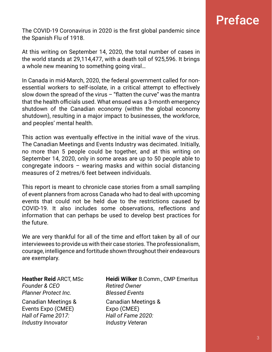# Preface

The COVID-19 Coronavirus in 2020 is the first global pandemic since the Spanish Flu of 1918.

At this writing on September 14, 2020, the total number of cases in the world stands at 29,114,477, with a death toll of 925,596. It brings a whole new meaning to something going viral…

In Canada in mid-March, 2020, the federal government called for nonessential workers to self-isolate, in a critical attempt to effectively slow down the spread of the virus  $-$  "flatten the curve" was the mantra that the health officials used. What ensued was a 3-month emergency shutdown of the Canadian economy (within the global economy shutdown), resulting in a major impact to businesses, the workforce, and peoples' mental health.

This action was eventually effective in the initial wave of the virus. The Canadian Meetings and Events Industry was decimated. Initially, no more than 5 people could be together, and at this writing on September 14, 2020, only in some areas are up to 50 people able to congregate indoors – wearing masks and within social distancing measures of 2 metres/6 feet between individuals.

This report is meant to chronicle case stories from a small sampling of event planners from across Canada who had to deal with upcoming events that could not be held due to the restrictions caused by COVID-19. It also includes some observations, reflections and information that can perhaps be used to develop best practices for the future.

We are very thankful for all of the time and effort taken by all of our interviewees to provide us with their case stories. The professionalism, courage, intelligence and fortitude shown throughout their endeavours are exemplary.

## **Founder & CEO** Retired Owner *Planner Protect Inc. Blessed Events*

Canadian Meetings & Canadian Meetings & Events Expo (CMEE) Expo (CMEE) *Hall of Fame 2017: Hall of Fame 2020: Industry Innovator Industry Veteran*

#### **Heather Reid** ARCT, MSc **Heidi Wilker** B.Comm., CMP Emeritus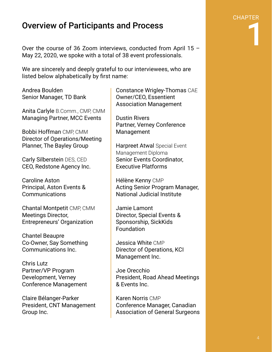### Overview of Participants and Process

Over the course of 36 Zoom interviews, conducted from April 15 – May 22, 2020, we spoke with a total of 38 event professionals.

We are sincerely and deeply grateful to our interviewees, who are listed below alphabetically by first name:

Andrea Boulden Senior Manager, TD Bank

Anita Carlyle B.Comm., CMP, CMM Managing Partner, MCC Events

Bobbi Hoffman CMP, CMM Director of Operations/Meeting Planner, The Bayley Group

Carly Silberstein DES, CED CEO, Redstone Agency Inc.

Caroline Aston Principal, Aston Events & Communications

Chantal Montpetit CMP, CMM Meetings Director, Entrepreneurs' Organization

Chantel Beaupre Co-Owner, Say Something Communications Inc.

Chris Lutz Partner/VP Program Development, Verney Conference Management

Claire Bélanger-Parker President, CNT Management Group Inc.

Constance Wrigley-Thomas CAE Owner/CEO, Essentient Association Management

Dustin Rivers Partner, Verney Conference Management

Harpreet Atwal Special Event Management Diploma Senior Events Coordinator, Executive Platforms

Hélène Kenny CMP Acting Senior Program Manager, National Judicial Institute

Jamie Lamont Director, Special Events & Sponsorship, SickKids Foundation

Jessica White CMP Director of Operations, KCI Management Inc.

Joe Orecchio President, Road Ahead Meetings & Events Inc.

Karen Norris CMP Conference Manager, Canadian Association of General Surgeons **CHAPTER** 

1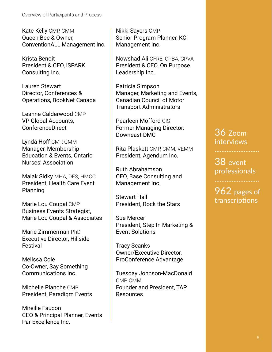Kate Kelly CMP, CMM Queen Bee & Owner, ConventionALL Management Inc.

Krista Benoit President & CEO, iSPARK Consulting Inc.

Lauren Stewart Director, Conferences & Operations, BookNet Canada

Leanne Calderwood CMP VP Global Accounts, ConferenceDirect

Lynda Hoff CMP, CMM Manager, Membership Education & Events, Ontario Nurses' Association

Malak Sidky MHA, DES, HMCC President, Health Care Event Planning

Marie Lou Coupal CMP Business Events Strategist, Marie Lou Coupal & Associates

Marie Zimmerman PhD Executive Director, Hillside Festival

Melissa Cole Co-Owner, Say Something Communications Inc.

Michelle Planche CMP President, Paradigm Events

Mireille Faucon CEO & Principal Planner, Events Par Excellence Inc.

Nikki Sayers CMP Senior Program Planner, KCI Management Inc.

Nowshad Ali CFRE, CPBA, CPVA President & CEO, On Purpose Leadership Inc.

Patricia Simpson Manager, Marketing and Events, Canadian Council of Motor Transport Administrators

Pearleen Mofford CIS Former Managing Director, Downeast DMC

Rita Plaskett CMP, CMM, VEMM President, Agendum Inc.

Ruth Abrahamson CEO, Base Consulting and Management Inc.

Stewart Hall President, Rock the Stars

Sue Mercer President, Step In Marketing & Event Solutions

Tracy Scanks Owner/Executive Director, ProConference Advantage

Tuesday Johnson-MacDonald CMP, CMM Founder and President, TAP Resources

### 36 Zoom interviews

38 event professionals

962 pages of transcriptions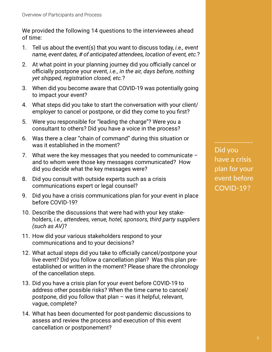We provided the following 14 questions to the interviewees ahead of time:

- 1. Tell us about the event(s) that you want to discuss today, *i.e., event name, event dates, # of anticipated attendees, location of event, etc.*?
- 2. At what point in your planning journey did you officially cancel or officially postpone your event, *i.e., in the air, days before, nothing yet shipped, registration closed, etc.*?
- 3. When did you become aware that COVID-19 was potentially going to impact your event?
- 4. What steps did you take to start the conversation with your client/ employer to cancel or postpone, or did they come to you first?
- 5. Were you responsible for "leading the charge"? Were you a consultant to others? Did you have a voice in the process?
- 6. Was there a clear "chain of command" during this situation or was it established in the moment?
- 7. What were the key messages that you needed to communicate and to whom were those key messages communicated? How did you decide what the key messages were?
- 8. Did you consult with outside experts such as a crisis communications expert or legal counsel?
- 9. Did you have a crisis communications plan for your event in place before COVID-19?
- 10. Describe the discussions that were had with your key stake holders, *i.e., attendees, venue, hotel, sponsors, third party suppliers (such as AV)*?
- 11. How did your various stakeholders respond to your communications and to your decisions?
- 12. What actual steps did you take to officially cancel/postpone your live event? Did you follow a cancellation plan? Was this plan pre established or written in the moment? Please share the chronology of the cancellation steps.
- 13. Did you have a crisis plan for your event before COVID-19 to address other possible risks? When the time came to cancel/ postpone, did you follow that plan – was it helpful, relevant, vague, complete?
- 14. What has been documented for post-pandemic discussions to assess and review the process and execution of this event cancellation or postponement?

Did you have a crisis plan for your event before COVID-19?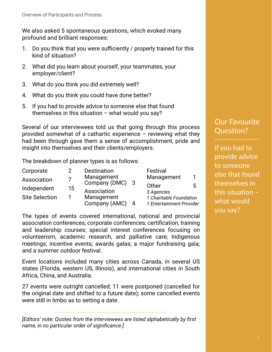We also asked 5 spontaneous questions, which evoked many profound and brilliant responses:

- 1. Do you think that you were sufficiently / properly trained for this kind of situation?
- 2. What did you learn about yourself, your teammates, your employer/client?
- 3. What do you think you did extremely well?
- 4. What do you think you could have done better?
- 5. If you had to provide advice to someone else that found themselves in this situation  $-$  what would you say?

Several of our interviewees told us that going through this process provided somewhat of a cathartic experience – reviewing what they had been through gave them a sense of accomplishment, pride and insight into themselves and their clients/employers.

The breakdown of planner types is as follows:

| Corporate             | 2  | Destination                                            |   | Festival                 |   |
|-----------------------|----|--------------------------------------------------------|---|--------------------------|---|
| Association           |    | Management<br>Company (DMC)<br>$\overline{\mathbf{3}}$ |   | Management               |   |
| Independent           | 15 |                                                        |   | Other                    | 5 |
|                       |    | Association                                            |   | 3 Agencies               |   |
| <b>Site Selection</b> |    | Management                                             |   | 1 Charitable Foundation  |   |
|                       |    | Company (AMC)                                          | 4 | 1 Entertainment Provider |   |

The types of events covered international, national and provincial association conferences; corporate conferences; certification, training and leadership courses; special interest conferences focusing on volunteerism, academic research, and palliative care; Indigenous meetings; incentive events; awards galas; a major fundraising gala; and a summer outdoor festival.

Event locations included many cities across Canada, in several US states (Florida, western US, Illinois), and international cities in South Africa, China, and Australia.

27 events were outright cancelled; 11 were postponed (cancelled for the original date and shifted to a future date); some cancelled events were still in limbo as to setting a date.

*[Editors' note: Quotes from the interviewees are listed alphabetically by first name, in no particular order of significance.]* 

### Our Favourite Question?

If you had to provide advice to someone else that found themselves in this situation  $$ what would you say?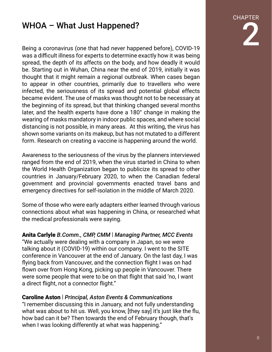### WHOA – What Just Happened?

Being a coronavirus (one that had never happened before), COVID-19 was a difficult illness for experts to determine exactly how it was being spread, the depth of its affects on the body, and how deadly it would be. Starting out in Wuhan, China near the end of 2019, initially it was thought that it might remain a regional outbreak. When cases began to appear in other countries, primarily due to travellers who were infected, the seriousness of its spread and potential global effects became evident. The use of masks was thought not to be necessary at the beginning of its spread, but that thinking changed several months later, and the health experts have done a 180° change in making the wearing of masks mandatory in indoor public spaces, and where social distancing is not possible, in many areas. At this writing, the virus has shown some variants on its makeup, but has not mutated to a different form. Research on creating a vaccine is happening around the world.

Awareness to the seriousness of the virus by the planners interviewed ranged from the end of 2019, when the virus started in China to when the World Health Organization began to publicize its spread to other countries in January/February 2020, to when the Canadian federal government and provincial governments enacted travel bans and emergency directives for self-isolation in the middle of March 2020.

Some of those who were early adapters either learned through various connections about what was happening in China, or researched what the medical professionals were saying.

Anita Carlyle *B.Comm., CMP, CMM* | *Managing Partner, MCC Events* "We actually were dealing with a company in Japan, so we were talking about it (COVID-19) within our company. I went to the SITE conference in Vancouver at the end of January. On the last day, I was flying back from Vancouver, and the connection flight I was on had flown over from Hong Kong, picking up people in Vancouver. There were some people that were to be on that flight that said 'no, I want a direct flight, not a connector flight."

#### Caroline Aston | *Principal, Aston Events & Communications*

"I remember discussing this in January, and not fully understanding what was about to hit us. Well, you know, [they say] it's just like the flu, how bad can it be? Then towards the end of February though, that's when I was looking differently at what was happening."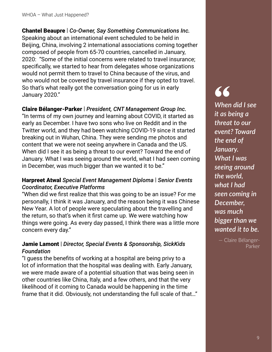Chantel Beaupre | *Co-Owner, Say Something Communications Inc.* Speaking about an international event scheduled to be held in Beijing, China, involving 2 international associations coming together composed of people from 65-70 countries, cancelled in January, 2020: "Some of the initial concerns were related to travel insurance; specifically, we started to hear from delegates whose organizations would not permit them to travel to China because of the virus, and who would not be covered by travel insurance if they opted to travel. So that's what really got the conversation going for us in early January 2020."

#### Claire Bélanger-Parker | *President, CNT Management Group Inc.*

"In terms of my own journey and learning about COVID, it started as early as December. I have two sons who live on Reddit and in the Twitter world, and they had been watching COVID-19 since it started breaking out in Wuhan, China. They were sending me photos and content that we were not seeing anywhere in Canada and the US. When did I see it as being a threat to our event? Toward the end of January. What I was seeing around the world, what I had seen coming in December, was much bigger than we wanted it to be."

#### Harpreet Atwal *Special Event Management Diploma* | *Senior Events Coordinator, Executive Platforms*

"When did we first realize that this was going to be an issue? For me personally, I think it was January, and the reason being it was Chinese New Year. A lot of people were speculating about the travelling and the return, so that's when it first came up. We were watching how things were going. As every day passed, I think there was a little more concern every day."

#### Jamie Lamont | *Director, Special Events & Sponsorship, SickKids Foundation*

"I guess the benefits of working at a hospital are being privy to a lot of information that the hospital was dealing with. Early January, we were made aware of a potential situation that was being seen in other countries like China, Italy, and a few others, and that the very likelihood of it coming to Canada would be happening in the time frame that it did. Obviously, not understanding the full scale of that…"

# **"**

*When did I see it as being a threat to our event? Toward the end of January. What I was seeing around the world, what I had seen coming in December, was much bigger than we wanted it to be.*

> — Claire Bélanger-Parker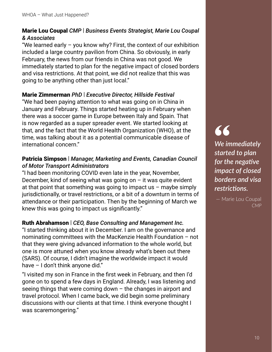#### Marie Lou Coupal *CMP* | *Business Events Strategist, Marie Lou Coupal & Associates*

"We learned early  $-$  you know why? First, the context of our exhibition included a large country pavilion from China. So obviously, in early February, the news from our friends in China was not good. We immediately started to plan for the negative impact of closed borders and visa restrictions. At that point, we did not realize that this was going to be anything other than just local."

#### Marie Zimmerman *PhD* | *Executive Director, Hillside Festival*

"We had been paying attention to what was going on in China in January and February. Things started heating up in February when there was a soccer game in Europe between Italy and Spain. That is now regarded as a super spreader event. We started looking at that, and the fact that the World Health Organization (WHO), at the time, was talking about it as a potential communicable disease of international concern."

#### Patricia Simpson | *Manager, Marketing and Events, Canadian Council of Motor Transport Administrators*

"I had been monitoring COVID even late in the year, November, December, kind of seeing what was going on  $-$  it was quite evident at that point that something was going to impact us  $-$  maybe simply jurisdictionally, or travel restrictions, or a bit of a downturn in terms of attendance or their participation. Then by the beginning of March we knew this was going to impact us significantly."

#### Ruth Abrahamson | *CEO, Base Consulting and Management Inc.*

"I started thinking about it in December. I am on the governance and nominating committees with the MacKenzie Health Foundation – not that they were giving advanced information to the whole world, but one is more attuned when you know already what's been out there (SARS). Of course, I didn't imagine the worldwide impact it would have – I don't think anyone did."

"I visited my son in France in the first week in February, and then I'd gone on to spend a few days in England. Already, I was listening and seeing things that were coming down – the changes in airport and travel protocol. When I came back, we did begin some preliminary discussions with our clients at that time. I think everyone thought I was scaremongering."

### **"** *We immediately started to plan for the negative impact of closed borders and visa*   $rest$

— Marie Lou Coupal *CMP*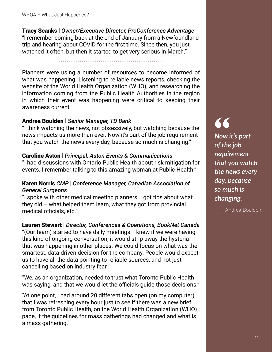Tracy Scanks | *Owner/Executive Director, ProConference Advantage* "I remember coming back at the end of January from a Newfoundland trip and hearing about COVID for the first time. Since then, you just watched it often, but then it started to get very serious in March."

.......................................................

Planners were using a number of resources to become informed of what was happening. Listening to reliable news reports, checking the website of the World Health Organization (WHO), and researching the information coming from the Public Health Authorities in the region in which their event was happening were critical to keeping their awareness current.

#### Andrea Boulden | *Senior Manager, TD Bank*

"I think watching the news, not obsessively, but watching because the news impacts us more than ever. Now it's part of the job requirement that you watch the news every day, because so much is changing."

#### Caroline Aston | *Principal, Aston Events & Communications*

"I had discussions with Ontario Public Health about risk mitigation for events. I remember talking to this amazing woman at Public Health."

#### Karen Norris *CMP* | *Conference Manager, Canadian Association of General Surgeons*

"I spoke with other medical meeting planners. I got tips about what they did – what helped them learn, what they got from provincial medical officials, etc."

#### Lauren Stewart | *Director, Conferences & Operations, BookNet Canada*

"(Our team) started to have daily meetings. I knew if we were having this kind of ongoing conversation, it would strip away the hysteria that was happening in other places. We could focus on what was the smartest, data-driven decision for the company. People would expect us to have all the data pointing to reliable sources, and not just cancelling based on industry fear."

"We, as an organization, needed to trust what Toronto Public Health was saying, and that we would let the officials guide those decisions."

"At one point, I had around 20 different tabs open (on my computer) that I was refreshing every hour just to see if there was a new brief from Toronto Public Health, on the World Health Organization (WHO) page, if the guidelines for mass gatherings had changed and what is a mass gathering."

**"**

*Now it's part of the job requirement that you watch the news every day, because so much is changing.*

— Andrea Boulden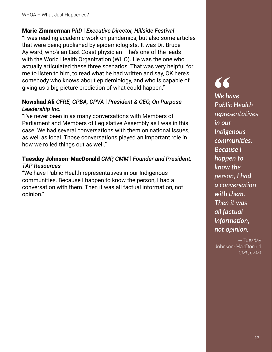#### Marie Zimmerman *PhD* | *Executive Director, Hillside Festival*

"I was reading academic work on pandemics, but also some articles that were being published by epidemiologists. It was Dr. Bruce Aylward, who's an East Coast physician – he's one of the leads with the World Health Organization (WHO). He was the one who actually articulated these three scenarios. That was very helpful for me to listen to him, to read what he had written and say, OK here's somebody who knows about epidemiology, and who is capable of giving us a big picture prediction of what could happen."

#### Nowshad Ali *CFRE, CPBA, CPVA* | *President & CEO, On Purpose Leadership Inc.*

"I've never been in as many conversations with Members of Parliament and Members of Legislative Assembly as I was in this case. We had several conversations with them on national issues, as well as local. Those conversations played an important role in how we rolled things out as well."

#### Tuesday Johnson-MacDonald *CMP, CMM* | *Founder and President, TAP Resources*

"We have Public Health representatives in our Indigenous communities. Because I happen to know the person, I had a conversation with them. Then it was all factual information, not opinion."

# **"**

*We have Public Health representaࢼ ves in our Indigenous communities. Because I happen to know the person, I had a conversaࢼ on with them. Then it was all factual information, not opinion.*

— Tuesday Johnson-MacDonald *CMP, CMM*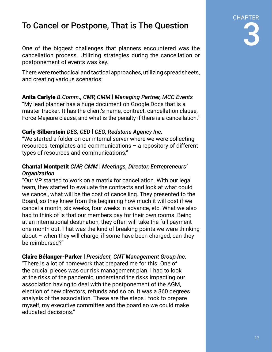# To Cancel or Postpone, That is The Question

One of the biggest challenges that planners encountered was the cancellation process. Utilizing strategies during the cancellation or postponement of events was key.

There were methodical and tactical approaches, utilizing spreadsheets, and creating various scenarios:

### Anita Carlyle *B.Comm., CMP, CMM* | *Managing Partner, MCC Events*

"My lead planner has a huge document on Google Docs that is a master tracker. It has the client's name, contract, cancellation clause, Force Majeure clause, and what is the penalty if there is a cancellation."

#### Carly Silberstein *DES, CED* | *CEO, Redstone Agency Inc.*

"We started a folder on our internal server where we were collecting resources, templates and communications – a repository of different types of resources and communications."

#### Chantal Montpetit *CMP, CMM* | *Meetings, Director, Entrepreneurs' Organization*

"Our VP started to work on a matrix for cancellation. With our legal team, they started to evaluate the contracts and look at what could we cancel, what will be the cost of cancelling. They presented to the Board, so they knew from the beginning how much it will cost if we cancel a month, six weeks, four weeks in advance, etc. What we also had to think of is that our members pay for their own rooms. Being at an international destination, they often will take the full payment one month out. That was the kind of breaking points we were thinking about – when they will charge, if some have been charged, can they be reimbursed?"

#### Claire Bélanger-Parker | *President, CNT Management Group Inc.*

"There is a lot of homework that prepared me for this. One of the crucial pieces was our risk management plan. I had to look at the risks of the pandemic, understand the risks impacting our association having to deal with the postponement of the AGM, election of new directors, refunds and so on. It was a 360 degrees analysis of the association. These are the steps I took to prepare myself, my executive committee and the board so we could make educated decisions."

CHAPTER

3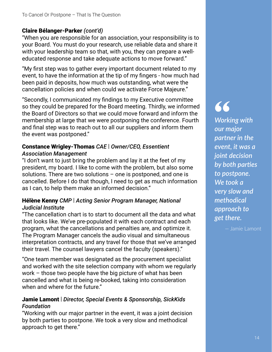#### Claire Bélanger-Parker *(cont'd)*

"When you are responsible for an association, your responsibility is to your Board. You must do your research, use reliable data and share it with your leadership team so that, with you, they can prepare a welleducated response and take adequate actions to move forward."

"My first step was to gather every important document related to my event, to have the information at the tip of my fingers - how much had been paid in deposits, how much was outstanding, what were the cancellation policies and when could we activate Force Majeure."

"Secondly, I communicated my findings to my Executive committee so they could be prepared for the Board meeting. Thirdly, we informed the Board of Directors so that we could move forward and inform the membership at large that we were postponing the conference. Fourth and final step was to reach out to all our suppliers and inform them the event was postponed."

#### Constance Wrigley-Thomas *CAE* | *Owner/CEO, Essentient Association Management*

"I don't want to just bring the problem and lay it at the feet of my president, my board. I like to come with the problem, but also some solutions. There are two solutions – one is postponed, and one is cancelled. Before I do that though, I need to get as much information as I can, to help them make an informed decision."

#### Hélène Kenny *CMP* | *Acting Senior Program Manager, National Judicial Institute*

"The cancellation chart is to start to document all the data and what that looks like. We've pre-populated it with each contract and each program, what the cancellations and penalties are, and optimize it. The Program Manager cancels the audio visual and simultaneous interpretation contracts, and any travel for those that we've arranged their travel. The counsel lawyers cancel the faculty (speakers)."

"One team member was designated as the procurement specialist and worked with the site selection company with whom we regularly work – those two people have the big picture of what has been cancelled and what is being re-booked, taking into consideration when and where for the future."

#### Jamie Lamont | *Director, Special Events & Sponsorship, SickKids Foundation*

"Working with our major partner in the event, it was a joint decision by both parties to postpone. We took a very slow and methodical approach to get there."

# **"**

*Working with our major partner in the event, it was a joint decision <u>by both parties</u> to postpone. We took a very slow and methodical approach to get there.*

— Jamie Lamont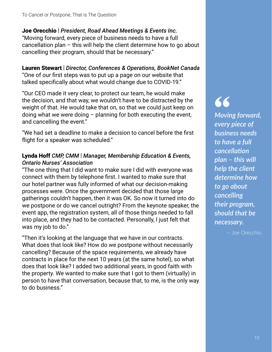Joe Orecchio | *President, Road Ahead Meetings & Events Inc.* "Moving forward, every piece of business needs to have a full cancellation plan – this will help the client determine how to go about cancelling their program, should that be necessary."

Lauren Stewart | *Director, Conferences & Operations, BookNet Canada* "One of our first steps was to put up a page on our website that talked specifically about what would change due to COVID-19."

"Our CEO made it very clear, to protect our team, he would make the decision, and that way, we wouldn't have to be distracted by the weight of that. He would take that on, so that we could just keep on doing what we were doing – planning for both executing the event, and cancelling the event."

"We had set a deadline to make a decision to cancel before the first flight for a speaker was scheduled."

#### Lynda Hoff *CMP, CMM* | *Manager, Membership Education & Events, Ontario Nurses' Association*

"The one thing that I did want to make sure I did with everyone was connect with them by telephone first. I wanted to make sure that our hotel partner was fully informed of what our decision-making processes were. Once the government decided that those large gatherings couldn't happen, then it was OK. So now it turned into do we postpone or do we cancel outright? From the keynote speaker, the event app, the registration system, all of those things needed to fall into place, and they had to be contacted. Personally, I just felt that was my job to do."

"Then it's looking at the language that we have in our contracts. What does that look like? How do we postpone without necessarily cancelling? Because of the space requirements, we already have contracts in place for the next 10 years (at the same hotel), so what does that look like? I added two additional years, in good faith with the property. We wanted to make sure that I got to them (virtually) in person to have that conversation, because that, to me, is the only way to do business."

**"** *Moving forward, every piece of business needs to have a full cancellaࢼ on plan – this will help the client determine how to go about cancelling their program, should that be necessary.*

— Joe Orecchio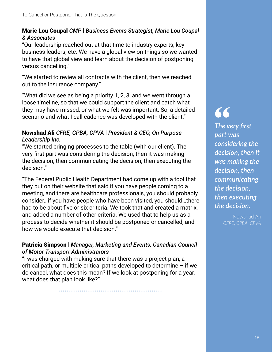#### Marie Lou Coupal *CMP* | *Business Events Strategist, Marie Lou Coupal & Associates*

"Our leadership reached out at that time to industry experts, key business leaders, etc. We have a global view on things so we wanted to have that global view and learn about the decision of postponing versus cancelling."

"We started to review all contracts with the client, then we reached out to the insurance company."

"What did we see as being a priority 1, 2, 3, and we went through a loose timeline, so that we could support the client and catch what they may have missed, or what we felt was important. So, a detailed scenario and what I call cadence was developed with the client."

#### Nowshad Ali *CFRE, CPBA, CPVA* | *President & CEO, On Purpose Leadership Inc.*

"We started bringing processes to the table (with our client). The very first part was considering the decision, then it was making the decision, then communicating the decision, then executing the decision."

"The Federal Public Health Department had come up with a tool that they put on their website that said if you have people coming to a meeting, and there are healthcare professionals, you should probably consider…if you have people who have been visited, you should…there had to be about five or six criteria. We took that and created a matrix, and added a number of other criteria. We used that to help us as a process to decide whether it should be postponed or cancelled, and how we would execute that decision."

#### Patricia Simpson | *Manager, Marketing and Events, Canadian Council of Motor Transport Administrators*

"I was charged with making sure that there was a project plan, a critical path, or multiple critical paths developed to determine – if we do cancel, what does this mean? If we look at postponing for a year, what does that plan look like?"

.......................................................

**"**

**The very first** *part was considering the decision, then it was making the decision, then communicating the decision, then executing the decision.*

> — Nowshad Ali *CFRE, CPBA, CPVA*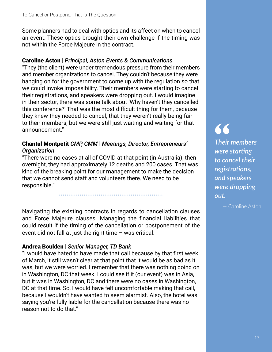Some planners had to deal with optics and its affect on when to cancel an event. These optics brought their own challenge if the timing was not within the Force Majeure in the contract.

#### Caroline Aston | *Principal, Aston Events & Communications*

"They (the client) were under tremendous pressure from their members and member organizations to cancel. They couldn't because they were hanging on for the government to come up with the regulation so that we could invoke impossibility. Their members were starting to cancel their registrations, and speakers were dropping out. I would imagine in their sector, there was some talk about 'Why haven't they cancelled this conference?' That was the most difficult thing for them, because they knew they needed to cancel, that they weren't really being fair to their members, but we were still just waiting and waiting for that announcement."

#### Chantal Montpetit *CMP, CMM* | *Meetings, Director, Entrepreneurs' Organization*

"There were no cases at all of COVID at that point (in Australia), then overnight, they had approximately 12 deaths and 200 cases. That was kind of the breaking point for our management to make the decision that we cannot send staff and volunteers there. We need to be responsible."

.......................................................

Navigating the existing contracts in regards to cancellation clauses and Force Majeure clauses. Managing the financial liabilities that could result if the timing of the cancellation or postponement of the event did not fall at just the right time – was critical.

#### Andrea Boulden | *Senior Manager, TD Bank*

"I would have hated to have made that call because by that first week of March, it still wasn't clear at that point that it would be as bad as it was, but we were worried. I remember that there was nothing going on in Washington, DC that week. I could see if it (our event) was in Asia, but it was in Washington, DC and there were no cases in Washington, DC at that time. So, I would have felt uncomfortable making that call, because I wouldn't have wanted to seem alarmist. Also, the hotel was saying you're fully liable for the cancellation because there was no reason not to do that."

**"** *Their members were starting to cancel their registrations, and speakers were dropping out.*

— Caroline Aston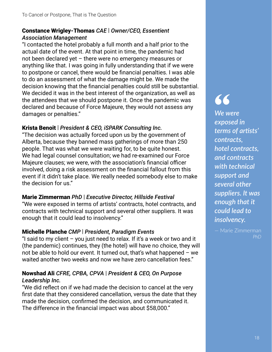#### Constance Wrigley-Thomas *CAE* | *Owner/CEO, Essentient Association Management*

"I contacted the hotel probably a full month and a half prior to the actual date of the event. At that point in time, the pandemic had not been declared yet – there were no emergency measures or anything like that. I was going in fully understanding that if we were to postpone or cancel, there would be financial penalties. I was able to do an assessment of what the damage might be. We made the decision knowing that the financial penalties could still be substantial. We decided it was in the best interest of the organization, as well as the attendees that we should postpone it. Once the pandemic was declared and because of Force Majeure, they would not assess any damages or penalties."

#### Krista Benoit | *President & CEO, iSPARK Consulting Inc.*

"The decision was actually forced upon us by the government of Alberta, because they banned mass gatherings of more than 250 people. That was what we were waiting for, to be quite honest. We had legal counsel consultation; we had re-examined our Force Majeure clauses; we were, with the association's financial officer involved, doing a risk assessment on the financial fallout from this event if it didn't take place. We really needed somebody else to make the decision for us."

#### Marie Zimmerman *PhD* | *Executive Director, Hillside Festival*

"We were exposed in terms of artists' contracts, hotel contracts, and contracts with technical support and several other suppliers. It was enough that it could lead to insolvency."

#### Michelle Planche *CMP* | *President, Paradigm Events*

"I said to my client  $-$  you just need to relax. If it's a week or two and it (the pandemic) continues, they (the hotel) will have no choice, they will not be able to hold our event. It turned out, that's what happened – we waited another two weeks and now we have zero cancellation fees."

#### Nowshad Ali *CFRE, CPBA, CPVA* | *President & CEO, On Purpose Leadership Inc.*

"We did reflect on if we had made the decision to cancel at the very first date that they considered cancellation, versus the date that they made the decision, confirmed the decision, and communicated it. The difference in the financial impact was about \$58,000."

**"** *We were exposed in terms of artists' contracts, hotel contracts, and contracts with technical support and several other suppliers. It was enough that it could lead to insolvency.*

— Marie Zimmerman *PhD*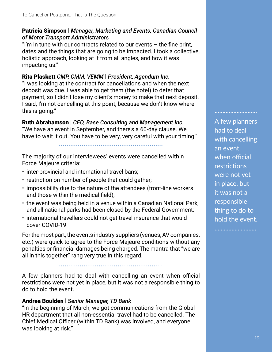#### Patricia Simpson | *Manager, Marketing and Events, Canadian Council of Motor Transport Administrators*

"I'm in tune with our contracts related to our events  $-$  the fine print, dates and the things that are going to be impacted. I took a collective, holistic approach, looking at it from all angles, and how it was impacting us."

#### Rita Plaskett *CMP, CMM, VEMM* | *President, Agendum Inc.*

"I was looking at the contract for cancellations and when the next deposit was due. I was able to get them (the hotel) to defer that payment, so I didn't lose my client's money to make that next deposit. I said, I'm not cancelling at this point, because we don't know where this is going."

Ruth Abrahamson | *CEO, Base Consulting and Management Inc.* "We have an event in September, and there's a 60-day clause. We have to wait it out. You have to be very, very careful with your timing."

.......................................................

The majority of our interviewees' events were cancelled within Force Majeure criteria:

- inter-provincial and international travel bans;
- restriction on number of people that could gather;
- impossibility due to the nature of the attendees (front-line workers and those within the medical field);
- the event was being held in a venue within a Canadian National Park, and all national parks had been closed by the Federal Government;
- international travellers could not get travel insurance that would cover COVID-19

For the most part, the events industry suppliers (venues, AV companies, etc.) were quick to agree to the Force Majeure conditions without any penalties or financial damages being charged. The mantra that "we are all in this together" rang very true in this regard.

.......................................................

A few planners had to deal with cancelling an event when official restrictions were not yet in place, but it was not a responsible thing to do to hold the event.

#### Andrea Boulden | *Senior Manager, TD Bank*

"In the beginning of March, we got communications from the Global HR department that all non-essential travel had to be cancelled. The Chief Medical Officer (within TD Bank) was involved, and everyone was looking at risk."

A few planners had to deal with cancelling an event when official restrictions were not yet in place, but it was not a responsible thing to do to hold the event.

...........................

...........................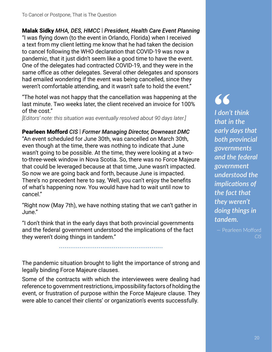#### Malak Sidky *MHA, DES, HMCC* | *President, Health Care Event Planning*

"I was flying down (to the event in Orlando, Florida) when I received a text from my client letting me know that he had taken the decision to cancel following the WHO declaration that COVID-19 was now a pandemic, that it just didn't seem like a good time to have the event. One of the delegates had contracted COVID-19, and they were in the same office as other delegates. Several other delegates and sponsors had emailed wondering if the event was being cancelled, since they weren't comfortable attending, and it wasn't safe to hold the event."

"The hotel was not happy that the cancellation was happening at the last minute. Two weeks later, the client received an invoice for 100% of the cost."

*[Editors' note: this situation was eventually resolved about 90 days later.]*

Pearleen Mofford *CIS* | *Former Managing Director, Downeast DMC* "An event scheduled for June 30th, was cancelled on March 30th, even though at the time, there was nothing to indicate that June wasn't going to be possible. At the time, they were looking at a twoto-three-week window in Nova Scotia. So, there was no Force Majeure that could be leveraged because at that time, June wasn't impacted. So now we are going back and forth, because June is impacted. There's no precedent here to say, 'Well, you can't enjoy the benefits of what's happening now. You would have had to wait until now to cancel."

"Right now (May 7th), we have nothing stating that we can't gather in June."

"I don't think that in the early days that both provincial governments and the federal government understood the implications of the fact they weren't doing things in tandem."

.......................................................

The pandemic situation brought to light the importance of strong and legally binding Force Majeure clauses.

Some of the contracts with which the interviewees were dealing had reference to government restrictions, impossibility factors of holding the event, or frustration of purpose within the Force Majeure clause. They were able to cancel their clients' or organization's events successfully.

**"** *I don't think that in the early days that both provincial governments and the federal government understood the implications of the fact that they weren't doing things in tandem.*

— Pearleen Mofford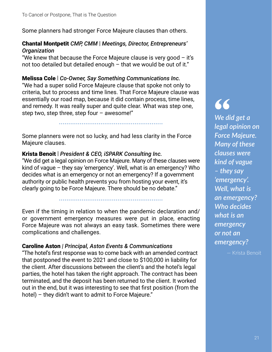Some planners had stronger Force Majeure clauses than others.

#### Chantal Montpetit *CMP, CMM* | *Meetings, Director, Entrepreneurs' Organization*

"We knew that because the Force Majeure clause is very good – it's not too detailed but detailed enough – that we would be out of it."

Melissa Cole | *Co-Owner, Say Something Communications Inc.* "We had a super solid Force Majeure clause that spoke not only to criteria, but to process and time lines. That Force Majeure clause was essentially our road map, because it did contain process, time lines, and remedy. It was really super and quite clear. What was step one, step two, step three, step four – awesome!"

.......................................................

Some planners were not so lucky, and had less clarity in the Force Majeure clauses.

#### Krista Benoit | *President & CEO, iSPARK Consulting Inc.*

"We did get a legal opinion on Force Majeure. Many of these clauses were kind of vague – they say 'emergency'. Well, what is an emergency? Who decides what is an emergency or not an emergency? If a government authority or public health prevents you from hosting your event, it's clearly going to be Force Majeure. There should be no debate."

.......................................................

Even if the timing in relation to when the pandemic declaration and/ or government emergency measures were put in place, enacting Force Majeure was not always an easy task. Sometimes there were complications and challenges.

#### Caroline Aston *| Principal, Aston Events & Communications*

"The hotel's first response was to come back with an amended contract that postponed the event to 2021 and close to \$100,000 in liability for the client. After discussions between the client's and the hotel's legal parties, the hotel has taken the right approach. The contract has been terminated, and the deposit has been returned to the client. It worked out in the end, but it was interesting to see that first position (from the hotel) – they didn't want to admit to Force Majeure."

# **"**

*We did get a legal opinion on Force Majeure. Many of these clauses were kind of vague – they say 'emergency'. Well, what is an emergency? Who decides what is an emergency or not an emergency?*

— Krista Benoit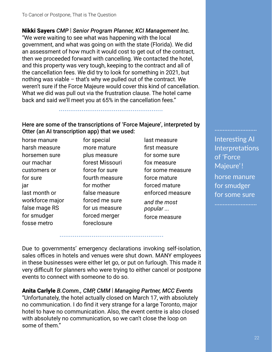Nikki Sayers *CMP* | *Senior Program Planner, KCI Management Inc.* "We were waiting to see what was happening with the local government, and what was going on with the state (Florida). We did an assessment of how much it would cost to get out of the contract, then we proceeded forward with cancelling. We contacted the hotel, and this property was very tough, keeping to the contract and all of the cancellation fees. We did try to look for something in 2021, but nothing was viable – that's why we pulled out of the contract. We weren't sure if the Force Majeure would cover this kind of cancellation. What we did was pull out via the frustration clause. The hotel came back and said we'll meet you at 65% in the cancellation fees."

#### Here are some of the transcriptions of 'Force Majeure', interpreted by Otter (an AI transcription app) that we used:

.......................................................

horse manure harsh measure horsemen sure our machar customers or for sure jar last month or workforce major false mage RS for smudger fosse metro

for special more mature plus measure forest Missouri force for sure fourth measure for mother false measure forced me sure for us measure forced merger foreclosure

last measure first measure for some sure fox measure for some measure force mature forced mature enforced measure *and the most popular ...* force measure

Interesting AI Interpretations of 'Force Majeure'! horse manure for smudger for some sure

..........................

..........................

Due to governments' emergency declarations invoking self-isolation, sales offices in hotels and venues were shut down. MANY employees in these businesses were either let go, or put on furlough. This made it very difficult for planners who were trying to either cancel or postpone events to connect with someone to do so.

.......................................................

Anita Carlyle *B.Comm., CMP, CMM* | *Managing Partner, MCC Events* "Unfortunately, the hotel actually closed on March 17, with absolutely no communication. I do find it very strange for a large Toronto, major hotel to have no communication. Also, the event centre is also closed with absolutely no communication, so we can't close the loop on some of them."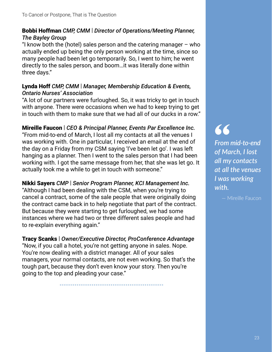#### Bobbi Hoffman *CMP, CMM* | *Director of Operations/Meeting Planner, The Bayley Group*

"I know both the (hotel) sales person and the catering manager  $-$  who actually ended up being the only person working at the time, since so many people had been let go temporarily. So, I went to him; he went directly to the sales person, and boom…it was literally done within three days."

#### Lynda Hoff *CMP, CMM* | *Manager, Membership Education & Events, Ontario Nurses' Association*

"A lot of our partners were furloughed. So, it was tricky to get in touch with anyone. There were occasions when we had to keep trying to get in touch with them to make sure that we had all of our ducks in a row."

#### Mireille Faucon | *CEO & Principal Planner, Events Par Excellence Inc.*

"From mid-to-end of March, I lost all my contacts at all the venues I was working with. One in particular, I received an email at the end of the day on a Friday from my CSM saying 'I've been let go'. I was left hanging as a planner. Then I went to the sales person that I had been working with. I got the same message from her, that she was let go. It actually took me a while to get in touch with someone."

Nikki Sayers *CMP* | *Senior Program Planner, KCI Management Inc.* "Although I had been dealing with the CSM, when you're trying to cancel a contract, some of the sale people that were originally doing the contract came back in to help negotiate that part of the contract. But because they were starting to get furloughed, we had some instances where we had two or three different sales people and had to re-explain everything again."

Tracy Scanks | *Owner/Executive Director, ProConference Advantage* "Now, if you call a hotel, you're not getting anyone in sales. Nope. You're now dealing with a district manager. All of your sales managers, your normal contacts, are not even working. So that's the tough part, because they don't even know your story. Then you're going to the top and pleading your case."

.......................................................

**"** *From mid-to-end of March, I lost all my contacts at all the venues I was working with.*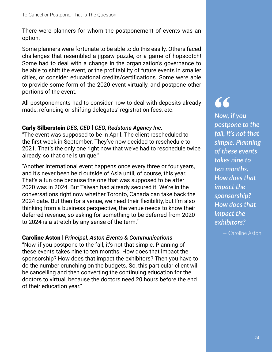There were planners for whom the postponement of events was an option.

Some planners were fortunate to be able to do this easily. Others faced challenges that resembled a jigsaw puzzle, or a game of hopscotch! Some had to deal with a change in the organization's governance to be able to shift the event, or the profitability of future events in smaller cities, or consider educational credits/certifications. Some were able to provide some form of the 2020 event virtually, and postpone other portions of the event.

All postponements had to consider how to deal with deposits already made, refunding or shifting delegates' registration fees, etc.

#### Carly Silberstein *DES, CED* | *CEO, Redstone Agency Inc.*

"The event was supposed to be in April. The client rescheduled to the first week in September. They've now decided to reschedule to 2021. That's the only one right now that we've had to reschedule twice already, so that one is unique."

"Another international event happens once every three or four years, and it's never been held outside of Asia until, of course, this year. That's a fun one because the one that was supposed to be after 2020 was in 2024. But Taiwan had already secured it. We're in the conversations right now whether Toronto, Canada can take back the 2024 date. But then for a venue, we need their flexibility, but I'm also thinking from a business perspective, the venue needs to know their deferred revenue, so asking for something to be deferred from 2020 to 2024 is a stretch by any sense of the term."

#### Caroline Aston | *Principal, Aston Events & Communications*

"Now, if you postpone to the fall, it's not that simple. Planning of these events takes nine to ten months. How does that impact the sponsorship? How does that impact the exhibitors? Then you have to do the number crunching on the budgets. So, this particular client will be cancelling and then converting the continuing education for the doctors to virtual, because the doctors need 20 hours before the end of their education year."

# **"**

*Now, if you postpone to the fall, it's not that simple. Planning of these events takes nine to ten months. How does that impact the sponsorship? How does that impact the exhibitors?* 

— Caroline Aston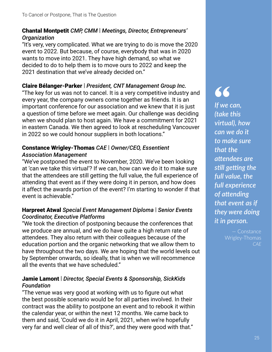#### Chantal Montpetit *CMP, CMM* | *Meetings, Director, Entrepreneurs' Organization*

"It's very, very complicated. What we are trying to do is move the 2020 event to 2022. But because, of course, everybody that was in 2020 wants to move into 2021. They have high demand, so what we decided to do to help them is to move ours to 2022 and keep the 2021 destination that we've already decided on."

#### Claire Bélanger-Parker | *President, CNT Management Group Inc.*

"The key for us was not to cancel. It is a very competitive industry and every year, the company owners come together as friends. It is an important conference for our association and we knew that it is just a question of time before we meet again. Our challenge was deciding when we should plan to host again. We have a commitment for 2021 in eastern Canada. We then agreed to look at rescheduling Vancouver in 2022 so we could honour suppliers in both locations."

#### Constance Wrigley-Thomas *CAE* | *Owner/CEO, Essentient Association Management*

"We've postponed the event to November, 2020. We've been looking at 'can we take this virtual'? If we can, how can we do it to make sure that the attendees are still getting the full value, the full experience of attending that event as if they were doing it in person, and how does it affect the awards portion of the event? I'm starting to wonder if that event is achievable."

#### Harpreet Atwal *Special Event Management Diploma* | *Senior Events Coordinator, Executive Platforms*

"We took the direction of postponing because the conferences that we produce are annual, and we do have quite a high return rate of attendees. They also return with their colleagues because of the education portion and the organic networking that we allow them to have throughout the two days. We are hoping that the world levels out by September onwards, so ideally, that is when we will recommence all the events that we have scheduled."

#### Jamie Lamont | *Director, Special Events & Sponsorship, SickKids Foundation*

"The venue was very good at working with us to figure out what the best possible scenario would be for all parties involved. In their contract was the ability to postpone an event and to rebook it within the calendar year, or within the next 12 months. We came back to them and said, 'Could we do it in April, 2021, when we're hopefully very far and well clear of all of this?', and they were good with that."

**"** *If we can, (take this virtual), how can we do it to make sure that the a*<sup>ttendees are</sup> *s*till getting the *full value, the full experience*   $of$  attending *that event as if they were doing it in person.*

> Wrigley-Thomas *CAE*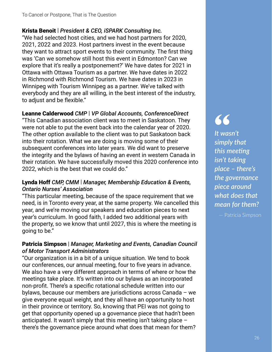#### Krista Benoit | *President & CEO, iSPARK Consulting Inc.*

"We had selected host cities, and we had host partners for 2020, 2021, 2022 and 2023. Host partners invest in the event because they want to attract sport events to their community. The first thing was 'Can we somehow still host this event in Edmonton? Can we explore that it's really a postponement?' We have dates for 2021 in Ottawa with Ottawa Tourism as a partner. We have dates in 2022 in Richmond with Richmond Tourism. We have dates in 2023 in Winnipeg with Tourism Winnipeg as a partner. We've talked with everybody and they are all willing, in the best interest of the industry, to adjust and be flexible."

#### Leanne Calderwood *CMP* | *VP Global Accounts, ConferenceDirect*

"This Canadian association client was to meet in Saskatoon. They were not able to put the event back into the calendar year of 2020. The other option available to the client was to put Saskatoon back into their rotation. What we are doing is moving some of their subsequent conferences into later years. We did want to preserve the integrity and the bylaws of having an event in western Canada in their rotation. We have successfully moved this 2020 conference into 2022, which is the best that we could do."

#### Lynda Hoff *CMP, CMM* | *Manager, Membership Education & Events, Ontario Nurses' Association*

"This particular meeting, because of the space requirement that we need, is in Toronto every year, at the same property. We cancelled this year, and we're moving our speakers and education pieces to next year's curriculum. In good faith, I added two additional years with the property, so we know that until 2027, this is where the meeting is going to be."

#### Patricia Simpson | *Manager, Marketing and Events, Canadian Council of Motor Transport Administrators*

"Our organization is in a bit of a unique situation. We tend to book our conferences, our annual meeting, four to five years in advance. We also have a very different approach in terms of where or how the meetings take place. It's written into our bylaws as an incorporated non-profit. There's a specific rotational schedule written into our bylaws, because our members are jurisdictions across Canada – we give everyone equal weight, and they all have an opportunity to host in their province or territory. So, knowing that PEI was not going to get that opportunity opened up a governance piece that hadn't been anticipated. It wasn't simply that this meeting isn't taking place – there's the governance piece around what does that mean for them?

# **"**

*It wasn't simply that*  this meeting *isn't taking place – there's the governance piece around what does that mean for them?*

— Patricia Simpson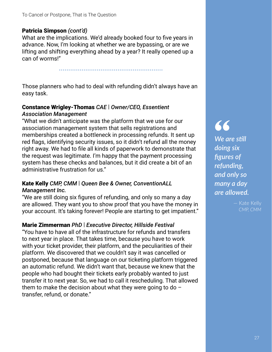#### Patricia Simpson *(cont'd)*

What are the implications. We'd already booked four to five years in advance. Now, I'm looking at whether we are bypassing, or are we lifting and shifting everything ahead by a year? It really opened up a can of worms!"

.......................................................

Those planners who had to deal with refunding didn't always have an easy task.

#### Constance Wrigley-Thomas *CAE* | *Owner/CEO, Essentient Association Management*

"What we didn't anticipate was the platform that we use for our association management system that sells registrations and memberships created a bottleneck in processing refunds. It sent up red flags, identifying security issues, so it didn't refund all the money right away. We had to file all kinds of paperwork to demonstrate that the request was legitimate. I'm happy that the payment processing system has these checks and balances, but it did create a bit of an administrative frustration for us."

#### Kate Kelly *CMP, CMM* | *Queen Bee & Owner, ConventionALL Management Inc.*

"We are still doing six figures of refunding, and only so many a day are allowed. They want you to show proof that you have the money in your account. It's taking forever! People are starting to get impatient."

#### Marie Zimmerman *PhD* | *Executive Director, Hillside Festival*

"You have to have all of the infrastructure for refunds and transfers to next year in place. That takes time, because you have to work with your ticket provider, their platform, and the peculiarities of their platform. We discovered that we couldn't say it was cancelled or postponed, because that language on our ticketing platform triggered an automatic refund. We didn't want that, because we knew that the people who had bought their tickets early probably wanted to just transfer it to next year. So, we had to call it rescheduling. That allowed them to make the decision about what they were going to do  $$ transfer, refund, or donate."

**" We are still** *doing six fi gures of refunding, and only so many a day are allowed.*

— Kate Kelly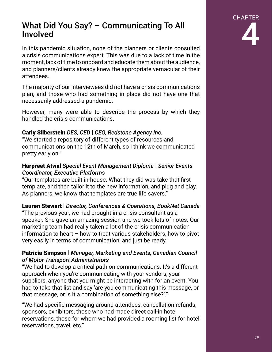### What Did You Say? – Communicating To All Involved

In this pandemic situation, none of the planners or clients consulted a crisis communications expert. This was due to a lack of time in the moment, lack of time to onboard and educate them about the audience, and planners/clients already knew the appropriate vernacular of their attendees.

The majority of our interviewees did not have a crisis communications plan, and those who had something in place did not have one that necessarily addressed a pandemic.

However, many were able to describe the process by which they handled the crisis communications.

#### Carly Silberstein *DES, CED* | *CEO, Redstone Agency Inc.*

"We started a repository of different types of resources and communications on the 12th of March, so I think we communicated pretty early on."

#### Harpreet Atwal *Special Event Management Diploma* | *Senior Events Coordinator, Executive Platforms*

"Our templates are built in-house. What they did was take that first template, and then tailor it to the new information, and plug and play. As planners, we know that templates are true life savers."

#### Lauren Stewart | *Director, Conferences & Operations, BookNet Canada*

"The previous year, we had brought in a crisis consultant as a speaker. She gave an amazing session and we took lots of notes. Our marketing team had really taken a lot of the crisis communication information to heart – how to treat various stakeholders, how to pivot very easily in terms of communication, and just be ready."

#### Patricia Simpson | *Manager, Marketing and Events, Canadian Council of Motor Transport Administrators*

"We had to develop a critical path on communications. It's a different approach when you're communicating with your vendors, your suppliers, anyone that you might be interacting with for an event. You had to take that list and say 'are you communicating this message, or that message, or is it a combination of something else?'."

"We had specific messaging around attendees, cancellation refunds, sponsors, exhibitors, those who had made direct call-in hotel reservations, those for whom we had provided a rooming list for hotel reservations, travel, etc."

# CHAPTER 4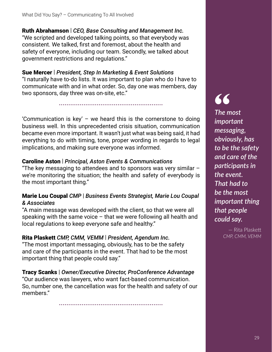Ruth Abrahamson | *CEO, Base Consulting and Management Inc.* "We scripted and developed talking points, so that everybody was consistent. We talked, first and foremost, about the health and safety of everyone, including our team. Secondly, we talked about government restrictions and regulations."

Sue Mercer | *President, Step In Marketing & Event Solutions* "I naturally have to-do lists. It was important to plan who do I have to communicate with and in what order. So, day one was members, day two sponsors, day three was on-site, etc."

.......................................................

'Communication is key' – we heard this is the cornerstone to doing business well. In this unprecedented crisis situation, communication became even more important. It wasn't just what was being said, it had everything to do with timing, tone, proper wording in regards to legal implications, and making sure everyone was informed.

#### Caroline Aston | *Principal, Aston Events & Communications*

"The key messaging to attendees and to sponsors was very similar  $$ we're monitoring the situation; the health and safety of everybody is the most important thing."

#### Marie Lou Coupal *CMP* | *Business Events Strategist, Marie Lou Coupal & Associates*

"A main message was developed with the client, so that we were all speaking with the same voice – that we were following all health and local regulations to keep everyone safe and healthy."

#### Rita Plaskett *CMP, CMM, VEMM* | *President, Agendum Inc.*

"The most important messaging, obviously, has to be the safety and care of the participants in the event. That had to be the most important thing that people could say."

Tracy Scanks | *Owner/Executive Director, ProConference Advantage* "Our audience was lawyers, who want fact-based communication. So, number one, the cancellation was for the health and safety of our members."

.......................................................

**"** *The most important messaging, obviously, has to be the safety and care of the parࢼ cipants in the event. That had to be the most important thing that people could say.*

> — Rita Plaske *CMP, CMM, VEMM*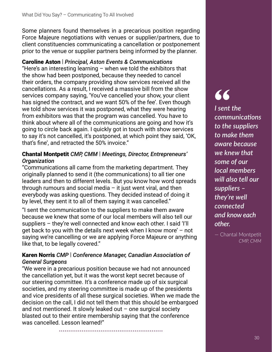Some planners found themselves in a precarious position regarding Force Majeure negotiations with venues or supplier/partners, due to client constituencies communicating a cancellation or postponement prior to the venue or supplier partners being informed by the planner.

#### Caroline Aston | *Principal, Aston Events & Communications*

"Here's an interesting learning  $-$  when we told the exhibitors that the show had been postponed, because they needed to cancel their orders, the company providing show services received all the cancellations. As a result, I received a massive bill from the show services company saying, 'You've cancelled your show, your client has signed the contract, and we want 50% of the fee'. Even though we told show services it was postponed, what they were hearing from exhibitors was that the program was cancelled. You have to think about where all of the communications are going and how it's going to circle back again. I quickly got in touch with show services to say it's not cancelled, it's postponed, at which point they said, 'OK, that's fine', and retracted the 50% invoice."

#### Chantal Montpetit *CMP, CMM* | *Meetings, Director, Entrepreneurs' Organization*

"Communications all came from the marketing department. They originally planned to send it (the communications) to all tier one leaders and then to different levels. But you know how word spreads through rumours and social media  $-$  it just went viral, and then everybody was asking questions. They decided instead of doing it by level, they sent it to all of them saying it was cancelled."

"I sent the communication to the suppliers to make them aware because we knew that some of our local members will also tell our suppliers – they're well connected and know each other. I said 'I'll get back to you with the details next week when I know more' – not saying we're cancelling or we are applying Force Majeure or anything like that, to be legally covered."

#### Karen Norris *CMP* | *Conference Manager, Canadian Association of General Surgeons*

"We were in a precarious position because we had not announced the cancellation yet, but it was the worst kept secret because of our steering committee. It's a conference made up of six surgical societies, and my steering committee is made up of the presidents and vice presidents of all these surgical societies. When we made the decision on the call, I did not tell them that this should be embargoed and not mentioned. It slowly leaked out  $-$  one surgical society blasted out to their entire membership saying that the conference was cancelled. Lesson learned!"

.......................................................

**"** *I sent the communicaࢼ ons to the suppliers to make them aware because we knew that some of our local members will also tell our suppliers – they're well connected and know each other.*

 $-$  Chantal Montpetit *CMP, CMM*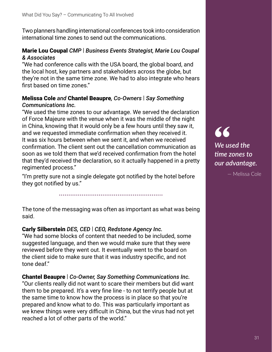Two planners handling international conferences took into consideration international time zones to send out the communications.

#### Marie Lou Coupal *CMP* | *Business Events Strategist, Marie Lou Coupal & Associates*

"We had conference calls with the USA board, the global board, and the local host, key partners and stakeholders across the globe, but they're not in the same time zone. We had to also integrate who hears first based on time zones."

#### Melissa Cole *and* Chantel Beaupre*, Co-Owners* | *Say Something Communications Inc.*

"We used the time zones to our advantage. We served the declaration of Force Majeure with the venue when it was the middle of the night in China, knowing that it would only be a few hours until they saw it, and we requested immediate confirmation when they received it. It was six hours between when we sent it, and when we received confirmation. The client sent out the cancellation communication as soon as we told them that we'd received confirmation from the hotel that they'd received the declaration, so it actually happened in a pretty regimented process."

"I'm pretty sure not a single delegate got notified by the hotel before they got notified by us."

.......................................................

The tone of the messaging was often as important as what was being said.

#### Carly Silberstein *DES, CED* | *CEO, Redstone Agency Inc.*

"We had some blocks of content that needed to be included, some suggested language, and then we would make sure that they were reviewed before they went out. It eventually went to the board on the client side to make sure that it was industry specific, and not tone deaf."

Chantel Beaupre | *Co-Owner, Say Something Communications Inc.* "Our clients really did not want to scare their members but did want them to be prepared. It's a very fine line - to not terrify people but at the same time to know how the process is in place so that you're prepared and know what to do. This was particularly important as we knew things were very difficult in China, but the virus had not yet reached a lot of other parts of the world."

**"** *We used the ࢼ me zones to our advantage.*

— Melissa Cole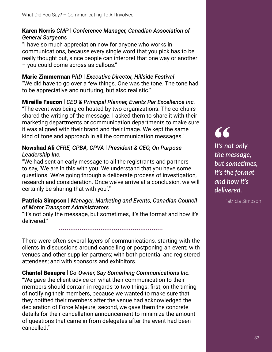#### Karen Norris *CMP* | *Conference Manager, Canadian Association of General Surgeons*

"I have so much appreciation now for anyone who works in communications, because every single word that you pick has to be really thought out, since people can interpret that one way or another – you could come across as callous."

#### Marie Zimmerman *PhD* | *Executive Director, Hillside Festival*

"We did have to go over a few things. One was the tone. The tone had to be appreciative and nurturing, but also realistic."

#### Mireille Faucon | *CEO & Principal Planner, Events Par Excellence Inc.*

"The event was being co-hosted by two organizations. The co-chairs shared the writing of the message. I asked them to share it with their marketing departments or communication departments to make sure it was aligned with their brand and their image. We kept the same kind of tone and approach in all the communication messages."

#### Nowshad Ali *CFRE, CPBA, CPVA* | *President & CEO, On Purpose Leadership Inc.*

"We had sent an early message to all the registrants and partners to say, 'We are in this with you. We understand that you have some questions. We're going through a deliberate process of investigation, research and consideration. Once we've arrive at a conclusion, we will certainly be sharing that with you'."

#### Patricia Simpson | *Manager, Marketing and Events, Canadian Council of Motor Transport Administrators*

"It's not only the message, but sometimes, it's the format and how it's delivered."

.......................................................

There were often several layers of communications, starting with the clients in discussions around cancelling or postponing an event; with venues and other supplier partners; with both potential and registered attendees; and with sponsors and exhibitors.

#### Chantel Beaupre | *Co-Owner, Say Something Communications Inc.* "We gave the client advice on what their communication to their members should contain in regards to two things: first, on the timing of notifying their members, because we wanted to make sure that they notified their members after the venue had acknowledged the declaration of Force Majeure; second, we gave them the concrete details for their cancellation announcement to minimize the amount of questions that came in from delegates after the event had been cancelled."

**"** *It's not only the message, but sometimes. it's the format and how it's delivered.*

— Patricia Simpson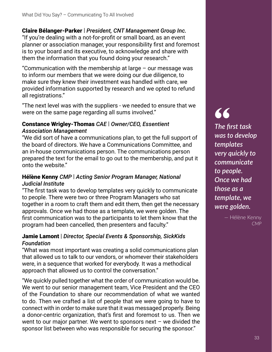#### Claire Bélanger-Parker | *President, CNT Management Group Inc.* "If you're dealing with a not-for-profit or small board, as an event planner or association manager, your responsibility first and foremost is to your board and its executive, to acknowledge and share with them the information that you found doing your research."

"Communication with the membership at large – our message was to inform our members that we were doing our due diligence, to make sure they knew their investment was handled with care, we provided information supported by research and we opted to refund all registrations."

"The next level was with the suppliers - we needed to ensure that we were on the same page regarding all sums involved."

#### Constance Wrigley-Thomas *CAE* | *Owner/CEO, Essentient Association Management*

"We did sort of have a communications plan, to get the full support of the board of directors. We have a Communications Committee, and an in-house communications person. The communications person prepared the text for the email to go out to the membership, and put it onto the website."

#### Hélène Kenny *CMP* | *Acting Senior Program Manager, National Judicial Institute*

"The first task was to develop templates very quickly to communicate to people. There were two or three Program Managers who sat together in a room to craft them and edit them, then get the necessary approvals. Once we had those as a template, we were golden. The first communication was to the participants to let them know that the program had been cancelled, then presenters and faculty."

#### Jamie Lamont | *Director, Special Events & Sponsorship, SickKids Foundation*

"What was most important was creating a solid communications plan that allowed us to talk to our vendors, or whomever their stakeholders were, in a sequence that worked for everybody. It was a methodical approach that allowed us to control the conversation."

"We quickly pulled together what the order of communication would be. We went to our senior management team, Vice President and the CEO of the Foundation to share our recommendation of what we wanted to do. Then we crafted a list of people that we were going to have to connect with in order to make sure that it was messaged properly. Being a donor-centric organization, that's first and foremost to us. Then we went to our major partner. We went to sponsors next – we divided the sponsor list between who was responsible for securing the sponsor."

# **"** *The first task was to develop templates very quickly to communicate*

*to people. Once we had those as a template, we were golden.*

> — Hélène Kenny *CMP*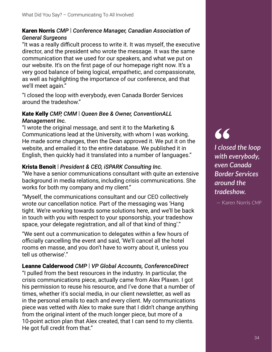#### Karen Norris *CMP* | *Conference Manager, Canadian Association of General Surgeons*

"It was a really difficult process to write it. It was myself, the executive director, and the president who wrote the message. It was the same communication that we used for our speakers, and what we put on our website. It's on the first page of our homepage right now. It's a very good balance of being logical, empathetic, and compassionate, as well as highlighting the importance of our conference, and that we'll meet again."

"I closed the loop with everybody, even Canada Border Services around the tradeshow."

#### Kate Kelly *CMP, CMM* | *Queen Bee & Owner, ConventionALL Management Inc.*

"I wrote the original message, and sent it to the Marketing & Communications lead at the University, with whom I was working. He made some changes, then the Dean approved it. We put it on the website, and emailed it to the entire database. We published it in English, then quickly had it translated into a number of languages."

#### Krista Benoit | *President & CEO, iSPARK Consulting Inc.*

"We have a senior communications consultant with quite an extensive background in media relations, including crisis communications. She works for both my company and my client."

"Myself, the communications consultant and our CEO collectively wrote our cancellation notice. Part of the messaging was 'Hang tight. We're working towards some solutions here, and we'll be back in touch with you with respect to your sponsorship, your tradeshow space, your delegate registration, and all of that kind of thing'."

"We sent out a communication to delegates within a few hours of officially cancelling the event and said, 'We'll cancel all the hotel rooms en masse, and you don't have to worry about it, unless you tell us otherwise'."

Leanne Calderwood *CMP* | *VP Global Accounts, ConferenceDirect* "I pulled from the best resources in the industry. In particular, the crisis communications piece, actually came from Alex Plaxen. I got his permission to reuse his resource, and I've done that a number of times, whether it's social media, in our client newsletter, as well as in the personal emails to each and every client. My communications piece was vetted with Alex to make sure that I didn't change anything from the original intent of the much longer piece, but more of a 10-point action plan that Alex created, that I can send to my clients. He got full credit from that."

**"** *I closed the loop with everybody, even Canada Border Services around the tradeshow.*

— Karen Norris *CMP*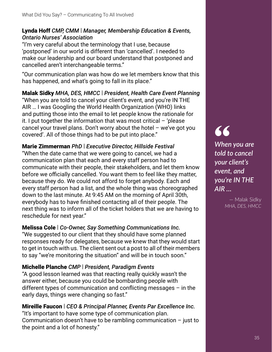#### Lynda Hoff *CMP, CMM* | *Manager, Membership Education & Events, Ontario Nurses' Association*

"I'm very careful about the terminology that I use, because 'postponed' in our world is different than 'cancelled'. I needed to make our leadership and our board understand that postponed and cancelled aren't interchangeable terms."

"Our communication plan was how do we let members know that this has happened, and what's going to fall in its place."

Malak Sidky *MHA, DES, HMCC* | *President, Health Care Event Planning* "When you are told to cancel your client's event, and you're IN THE AIR … I was Googling the World Health Organization (WHO) links and putting those into the email to let people know the rationale for it. I put together the information that was most critical – 'please cancel your travel plans. Don't worry about the hotel – we've got you covered'. All of those things had to be put into place."

Marie Zimmerman *PhD* | *Executive Director, Hillside Festival* "When the date came that we were going to cancel, we had a communication plan that each and every staff person had to communicate with their people, their stakeholders, and let them know before we officially cancelled. You want them to feel like they matter, because they do. We could not afford to forget anybody. Each and every staff person had a list, and the whole thing was choreographed down to the last minute. At 9:45 AM on the morning of April 30th, everybody has to have finished contacting all of their people. The next thing was to inform all of the ticket holders that we are having to reschedule for next year."

#### Melissa Cole | *Co-Owner, Say Something Communications Inc.*

"We suggested to our client that they should have some planned responses ready for delegates, because we knew that they would start to get in touch with us. The client sent out a post to all of their members to say "we're monitoring the situation" and will be in touch soon."

#### Michelle Planche *CMP* | *President, Paradigm Events*

"A good lesson learned was that reacting really quickly wasn't the answer either, because you could be bombarding people with different types of communication and conflicting messages  $-$  in the early days, things were changing so fast."

#### Mireille Faucon | *CEO & Principal Planner, Events Par Excellence Inc.*

"It's important to have some type of communication plan. Communication doesn't have to be rambling communication – just to the point and a lot of honesty."

**"** *When you are told to cancel your client's event, and you're IN THE AIR …* 

> — Malak Sidky *MHA, DES, HMCC*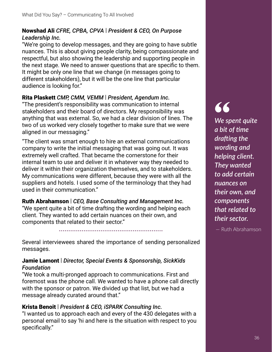#### Nowshad Ali *CFRE, CPBA, CPVA* | *President & CEO, On Purpose Leadership Inc.*

"We're going to develop messages, and they are going to have subtle nuances. This is about giving people clarity, being compassionate and respectful, but also showing the leadership and supporting people in the next stage. We need to answer questions that are specific to them. It might be only one line that we change (in messages going to different stakeholders), but it will be the one line that particular audience is looking for."

#### Rita Plaskett *CMP, CMM, VEMM* | *President, Agendum Inc.*

"The president's responsibility was communication to internal stakeholders and their board of directors. My responsibility was anything that was external. So, we had a clear division of lines. The two of us worked very closely together to make sure that we were aligned in our messaging."

"The client was smart enough to hire an external communications company to write the initial messaging that was going out. It was extremely well crafted. That became the cornerstone for their internal team to use and deliver it in whatever way they needed to deliver it within their organization themselves, and to stakeholders. My communications were different, because they were with all the suppliers and hotels. I used some of the terminology that they had used in their communication."

#### Ruth Abrahamson | *CEO, Base Consulting and Management Inc.*

"We spent quite a bit of time drafting the wording and helping each client. They wanted to add certain nuances on their own, and components that related to their sector."

.......................................................

Several interviewees shared the importance of sending personalized messages.

#### Jamie Lamont | *Director, Special Events & Sponsorship, SickKids Foundation*

"We took a multi-pronged approach to communications. First and foremost was the phone call. We wanted to have a phone call directly with the sponsor or patron. We divided up that list, but we had a message already curated around that."

#### Krista Benoit | *President & CEO, iSPARK Consulting Inc.*

"I wanted us to approach each and every of the 430 delegates with a personal email to say 'hi and here is the situation with respect to you specifically."

**"** *We spent quite a bit of ࢼ me dra[ ing the wording and helping client. They wanted to add certain nuances on their own, and components that related to their sector.*

— Ruth Abrahamson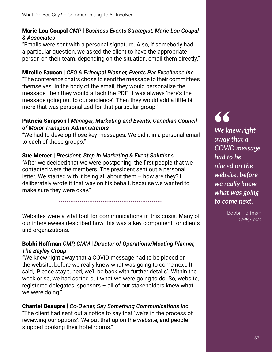#### Marie Lou Coupal *CMP* | *Business Events Strategist, Marie Lou Coupal & Associates*

"Emails were sent with a personal signature. Also, if somebody had a particular question, we asked the client to have the appropriate person on their team, depending on the situation, email them directly."

Mireille Faucon | *CEO & Principal Planner, Events Par Excellence Inc.* "The conference chairs chose to send the message to their committees themselves. In the body of the email, they would personalize the message, then they would attach the PDF. It was always 'here's the message going out to our audience'. Then they would add a little bit more that was personalized for that particular group."

#### Patricia Simpson | *Manager, Marketing and Events, Canadian Council of Motor Transport Administrators*

"We had to develop those key messages. We did it in a personal email to each of those groups."

#### Sue Mercer | *President, Step In Marketing & Event Solutions*

"After we decided that we were postponing, the first people that we contacted were the members. The president sent out a personal letter. We started with it being all about them – how are they? I deliberately wrote it that way on his behalf, because we wanted to make sure they were okay."

Websites were a vital tool for communications in this crisis. Many of our interviewees described how this was a key component for clients and organizations.

.......................................................

#### Bobbi Hoffman *CMP, CMM* | *Director of Operations/Meeting Planner, The Bayley Group*

"We knew right away that a COVID message had to be placed on the website, before we really knew what was going to come next. It said, 'Please stay tuned, we'll be back with further details'. Within the week or so, we had sorted out what we were going to do. So, website, registered delegates, sponsors – all of our stakeholders knew what we were doing."

#### Chantel Beaupre | *Co-Owner, Say Something Communications Inc.*

"The client had sent out a notice to say that 'we're in the process of reviewing our options'. We put that up on the website, and people stopped booking their hotel rooms."

## **"**

*We knew right away that a COVID message had to be placed on the website, before we really knew what was going to come next.*

> — Bobbi Hoff man *CMP, CMM*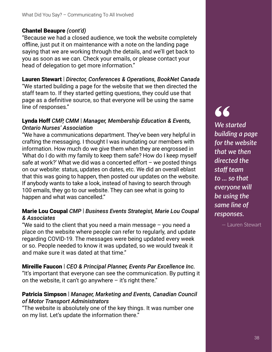#### Chantel Beaupre *(cont'd)*

"Because we had a closed audience, we took the website completely offline, just put it on maintenance with a note on the landing page saying that we are working through the details, and we'll get back to you as soon as we can. Check your emails, or please contact your head of delegation to get more information."

#### Lauren Stewart | *Director, Conferences & Operations, BookNet Canada*

"We started building a page for the website that we then directed the staff team to. If they started getting questions, they could use that page as a definitive source, so that everyone will be using the same line of responses."

#### Lynda Hoff *CMP, CMM* | *Manager, Membership Education & Events, Ontario Nurses' Association*

"We have a communications department. They've been very helpful in crafting the messaging. I thought I was inundating our members with information. How much do we give them when they are engrossed in 'What do I do with my family to keep them safe? How do I keep myself safe at work?' What we did was a concerted effort  $-$  we posted things on our website: status, updates on dates, etc. We did an overall eblast that this was going to happen, then posted our updates on the website. If anybody wants to take a look, instead of having to search through 100 emails, they go to our website. They can see what is going to happen and what was cancelled."

#### Marie Lou Coupal *CMP* | *Business Events Strategist, Marie Lou Coupal & Associates*

"We said to the client that you need a main message – you need a place on the website where people can refer to regularly, and update regarding COVID-19. The messages were being updated every week or so. People needed to know it was updated, so we would tweak it and make sure it was dated at that time."

#### Mireille Faucon | *CEO & Principal Planner, Events Par Excellence Inc.*

"It's important that everyone can see the communication. By putting it on the website, it can't go anywhere  $-$  it's right there."

#### Patricia Simpson | *Manager, Marketing and Events, Canadian Council of Motor Transport Administrators*

"The website is absolutely one of the key things. It was number one on my list. Let's update the information there."

### **"** *We started building a page for the website that we then*

*directed the staff team to ... so that everyone will be using the same line of responses.*

— Lauren Stewart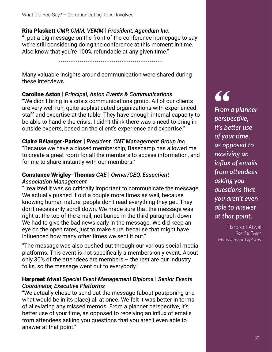#### Rita Plaskett *CMP, CMM, VEMM* | *President, Agendum Inc.*

"I put a big message on the front of the conference homepage to say we're still considering doing the conference at this moment in time. Also know that you're 100% refundable at any given time."

.......................................................

Many valuable insights around communication were shared during these interviews.

#### Caroline Aston | *Principal, Aston Events & Communications*

"We didn't bring in a crisis communications group. All of our clients are very well run, quite sophisticated organizations with experienced staff and expertise at the table. They have enough internal capacity to be able to handle the crisis. I didn't think there was a need to bring in outside experts, based on the client's experience and expertise."

#### Claire Bélanger-Parker | *President, CNT Management Group Inc.*

"Because we have a closed membership, Basecamp has allowed me to create a great room for all the members to access information, and for me to share instantly with our members."

#### Constance Wrigley-Thomas *CAE* | *Owner/CEO, Essentient Association Management*

"I realized it was so critically important to communicate the message. We actually pushed it out a couple more times as well, because knowing human nature, people don't read everything they get. They don't necessarily scroll down. We made sure that the message was right at the top of the email, not buried in the third paragraph down. We had to give the bad news early in the message. We did keep an eye on the open rates, just to make sure, because that might have influenced how many other times we sent it out."

"The message was also pushed out through our various social media platforms. This event is not specifically a members-only event. About only 30% of the attendees are members – the rest are our industry folks, so the message went out to everybody."

#### Harpreet Atwal *Special Event Management Diploma* | *Senior Events Coordinator, Executive Platforms*

"We actually chose to send out the message (about postponing and what would be in its place) all at once. We felt it was better in terms of alleviating any missed memos. From a planner perspective, it's better use of your time, as opposed to receiving an influx of emails from attendees asking you questions that you aren't even able to answer at that point."

**"** *From a planner perspective, it's better use of your ࢼ me, as opposed to receiving an infl ux of emails from attendees asking you quesࢼ ons that you aren't even able to answer at that point.*

— Harpreet Atwal *Special Event Management Diploma*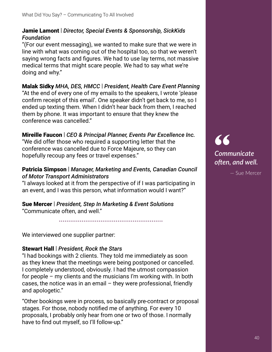#### Jamie Lamont | *Director, Special Events & Sponsorship, SickKids Foundation*

"(For our event messaging), we wanted to make sure that we were in line with what was coming out of the hospital too, so that we weren't saying wrong facts and figures. We had to use lay terms, not massive medical terms that might scare people. We had to say what we're doing and why."

#### Malak Sidky *MHA, DES, HMCC* | *President, Health Care Event Planning* "At the end of every one of my emails to the speakers, I wrote 'please confirm receipt of this email'. One speaker didn't get back to me, so I ended up texting them. When I didn't hear back from them, I reached them by phone. It was important to ensure that they knew the

conference was cancelled."

#### Mireille Faucon | *CEO & Principal Planner, Events Par Excellence Inc.*

"We did offer those who required a supporting letter that the conference was cancelled due to Force Majeure, so they can hopefully recoup any fees or travel expenses."

#### Patricia Simpson | *Manager, Marketing and Events, Canadian Council of Motor Transport Administrators*

"I always looked at it from the perspective of if I was participating in an event, and I was this person, what information would I want?"

#### Sue Mercer | *President, Step In Marketing & Event Solutions* "Communicate often, and well."

.......................................................

We interviewed one supplier partner:

#### Stewart Hall | *President, Rock the Stars*

"I had bookings with 2 clients. They told me immediately as soon as they knew that the meetings were being postponed or cancelled. I completely understood, obviously. I had the utmost compassion for people – my clients and the musicians I'm working with. In both cases, the notice was in an email – they were professional, friendly and apologetic."

"Other bookings were in process, so basically pre-contract or proposal stages. For those, nobody notified me of anything. For every 10 proposals, I probably only hear from one or two of those. I normally have to find out myself, so I'll follow-up."

**"** *Communicate o[ en, and well.*

— Sue Mercer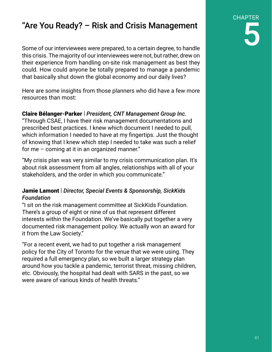### "Are You Ready? – Risk and Crisis Management

Some of our interviewees were prepared, to a certain degree, to handle this crisis. The majority of our interviewees were not, but rather, drew on their experience from handling on-site risk management as best they could. How could anyone be totally prepared to manage a pandemic that basically shut down the global economy and our daily lives?

Here are some insights from those planners who did have a few more resources than most:

#### Claire Bélanger-Parker | *President, CNT Management Group Inc.*

"Through CSAE, I have their risk management documentations and prescribed best practices. I knew which document I needed to pull, which information I needed to have at my fingertips. Just the thought of knowing that I knew which step I needed to take was such a relief for me – coming at it in an organized manner."

"My crisis plan was very similar to my crisis communication plan. It's about risk assessment from all angles, relationships with all of your stakeholders, and the order in which you communicate."

#### Jamie Lamont | *Director, Special Events & Sponsorship, SickKids Foundation*

"I sit on the risk management committee at SickKids Foundation. There's a group of eight or nine of us that represent different interests within the Foundation. We've basically put together a very documented risk management policy. We actually won an award for it from the Law Society."

"For a recent event, we had to put together a risk management policy for the City of Toronto for the venue that we were using. They required a full emergency plan, so we built a larger strategy plan around how you tackle a pandemic, terrorist threat, missing children, etc. Obviously, the hospital had dealt with SARS in the past, so we were aware of various kinds of health threats."

CHAPTER 5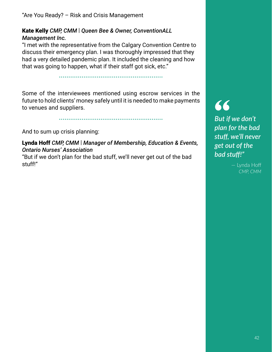"Are You Ready? – Risk and Crisis Management

#### Kate Kelly *CMP, CMM* | *Queen Bee & Owner, ConventionALL Management Inc.*

"I met with the representative from the Calgary Convention Centre to discuss their emergency plan. I was thoroughly impressed that they had a very detailed pandemic plan. It included the cleaning and how that was going to happen, what if their staff got sick, etc."

.......................................................

Some of the interviewees mentioned using escrow services in the future to hold clients' money safely until it is needed to make payments to venues and suppliers.

.......................................................

And to sum up crisis planning:

Lynda Hoff *CMP, CMM* | *Manager of Membership, Education & Events, Ontario Nurses' Association*

"But if we don't plan for the bad stuff, we'll never get out of the bad stuff!"

## **"**

*But if we don't plan for the bad stuff , we'll never get out of the bad stuff !"*

> — Lynda Hoff *CMP, CMM*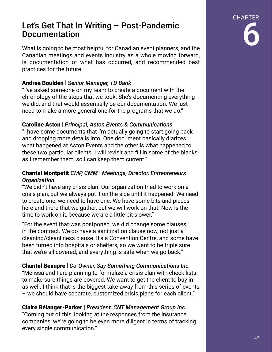#### Let's Get That In Writing – Post-Pandemic Documentation

What is going to be most helpful for Canadian event planners, and the Canadian meetings and events industry as a whole moving forward, is documentation of what has occurred, and recommended best practices for the future.

#### Andrea Boulden | *Senior Manager, TD Bank*

"I've asked someone on my team to create a document with the chronology of the steps that we took. She's documenting everything we did, and that would essentially be our documentation. We just need to make a more general one for the programs that we do."

#### Caroline Aston | *Principal, Aston Events & Communications*

"I have some documents that I'm actually going to start going back and dropping more details into. One document basically diarizes what happened at Aston Events and the other is what happened to these two particular clients. I will revisit and fill in some of the blanks, as I remember them, so I can keep them current."

#### Chantal Montpetit *CMP, CMM* | *Meetings, Director, Entrepreneurs' Organization*

"We didn't have any crisis plan. Our organization tried to work on a crisis plan, but we always put it on the side until it happened. We need to create one; we need to have one. We have some bits and pieces here and there that we gather, but we will work on that. Now is the time to work on it, because we are a little bit slower."

"For the event that was postponed, we did change some clauses in the contract. We do have a sanitization clause now, not just a cleaning/cleanliness clause. It's a Convention Centre, and some have been turned into hospitals or shelters, so we want to be triple sure that we're all covered, and everything is safe when we go back."

#### Chantel Beaupre | *Co-Owner, Say Something Communications Inc.* "Melissa and I are planning to formalize a crisis plan with check lists to make sure things are covered. We want to get the client to buy in as well. I think that is the biggest take-away from this series of events – we should have separate, customized crisis plans for each client."

Claire Bélanger-Parker | *President, CNT Management Group Inc.* "Coming out of this, looking at the responses from the insurance companies, we're going to be even more diligent in terms of tracking every single communication."

CHAPTER

6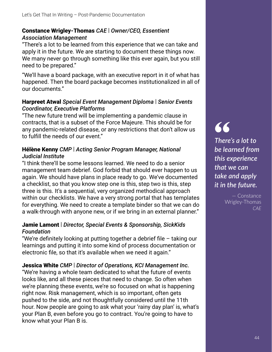#### Constance Wrigley-Thomas *CAE* | *Owner/CEO, Essentient Association Management*

"There's a lot to be learned from this experience that we can take and apply it in the future. We are starting to document these things now. We many never go through something like this ever again, but you still need to be prepared."

"We'll have a board package, with an executive report in it of what has happened. Then the board package becomes institutionalized in all of our documents."

#### Harpreet Atwal *Special Event Management Diploma* | *Senior Events Coordinator, Executive Platforms*

"The new future trend will be implementing a pandemic clause in contracts, that is a subset of the Force Majeure. This should be for any pandemic-related disease, or any restrictions that don't allow us to fulfill the needs of our event."

#### Hélène Kenny *CMP* | *Acting Senior Program Manager, National Judicial Institute*

"I think there'll be some lessons learned. We need to do a senior management team debrief. God forbid that should ever happen to us again. We should have plans in place ready to go. We've documented a checklist, so that you know step one is this, step two is this, step three is this. It's a sequential, very organized methodical approach within our checklists. We have a very strong portal that has templates for everything. We need to create a template binder so that we can do a walk-through with anyone new, or if we bring in an external planner."

#### Jamie Lamont | *Director, Special Events & Sponsorship, SickKids Foundation*

"We're definitely looking at putting together a debrief file  $-$  taking our learnings and putting it into some kind of process documentation or electronic file, so that it's available when we need it again."

#### Jessica White *CMP* | *Director of Operations, KCI Management Inc.*

"We're having a whole team dedicated to what the future of events looks like, and all these pieces that need to change. So often when we're planning these events, we're so focused on what is happening right now. Risk management, which is so important, often gets pushed to the side, and not thoughtfully considered until the 11th hour. Now people are going to ask what your 'rainy day plan' is, what's your Plan B, even before you go to contract. You're going to have to know what your Plan B is.

## **"**

*There's a lot to be learned from this experience that we can take and apply it in the future.*

> — Constance Wrigley-Thomas *CAE*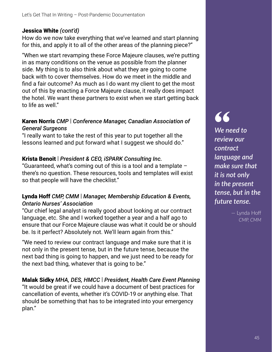#### Jessica White *(cont'd)*

How do we now take everything that we've learned and start planning for this, and apply it to all of the other areas of the planning piece?"

"When we start revamping these Force Majeure clauses, we're putting in as many conditions on the venue as possible from the planner side. My thing is to also think about what they are going to come back with to cover themselves. How do we meet in the middle and find a fair outcome? As much as I do want my client to get the most out of this by enacting a Force Majeure clause, it really does impact the hotel. We want these partners to exist when we start getting back to life as well."

#### Karen Norris *CMP* | *Conference Manager, Canadian Association of General Surgeons*

"I really want to take the rest of this year to put together all the lessons learned and put forward what I suggest we should do."

#### Krista Benoit | *President & CEO, iSPARK Consulting Inc.*

"Guaranteed, what's coming out of this is a tool and a template – there's no question. These resources, tools and templates will exist so that people will have the checklist."

#### Lynda Hoff *CMP, CMM* | *Manager, Membership Education & Events, Ontario Nurses' Association*

"Our chief legal analyst is really good about looking at our contract language, etc. She and I worked together a year and a half ago to ensure that our Force Majeure clause was what it could be or should be. Is it perfect? Absolutely not. We'll learn again from this."

"We need to review our contract language and make sure that it is not only in the present tense, but in the future tense, because the next bad thing is going to happen, and we just need to be ready for the next bad thing, whatever that is going to be."

#### Malak Sidky *MHA, DES, HMCC* | *President, Health Care Event Planning*

"It would be great if we could have a document of best practices for cancellation of events, whether it's COVID-19 or anything else. That should be something that has to be integrated into your emergency plan."

## **"**

*We need to review our contract language and make sure that it is not only in the present tense, but in the future tense.*

> — Lynda Hoff *CMP, CMM*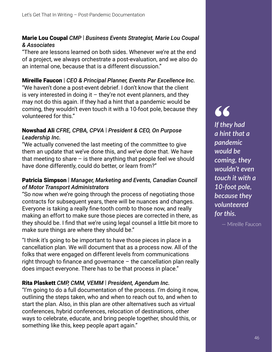#### Marie Lou Coupal *CMP* | *Business Events Strategist, Marie Lou Coupal & Associates*

"There are lessons learned on both sides. Whenever we're at the end of a project, we always orchestrate a post-evaluation, and we also do an internal one, because that is a different discussion."

Mireille Faucon | *CEO & Principal Planner, Events Par Excellence Inc.* "We haven't done a post-event debrief. I don't know that the client is very interested in doing it  $-$  they're not event planners, and they may not do this again. If they had a hint that a pandemic would be coming, they wouldn't even touch it with a 10-foot pole, because they volunteered for this."

#### Nowshad Ali *CFRE, CPBA, CPVA* | *President & CEO, On Purpose Leadership Inc.*

"We actually convened the last meeting of the committee to give them an update that we've done this, and we've done that. We have that meeting to share  $-$  is there anything that people feel we should have done differently, could do better, or learn from?"

#### Patricia Simpson | *Manager, Marketing and Events, Canadian Council of Motor Transport Administrators*

"So now when we're going through the process of negotiating those contracts for subsequent years, there will be nuances and changes. Everyone is taking a really fine-tooth comb to those now, and really making an effort to make sure those pieces are corrected in there, as they should be. I find that we're using legal counsel a little bit more to make sure things are where they should be."

"I think it's going to be important to have those pieces in place in a cancellation plan. We will document that as a process now. All of the folks that were engaged on different levels from communications right through to finance and governance  $-$  the cancellation plan really does impact everyone. There has to be that process in place."

#### Rita Plaskett *CMP, CMM, VEMM* | *President, Agendum Inc.*

"I'm going to do a full documentation of the process. I'm doing it now, outlining the steps taken, who and when to reach out to, and when to start the plan. Also, in this plan are other alternatives such as virtual conferences, hybrid conferences, relocation of destinations, other ways to celebrate, educate, and bring people together, should this, or something like this, keep people apart again."

**"** *If they had a hint that a pandemic would be coming, they wouldn't even touch it with a 10-foot pole, because they volunteered for this.*

— Mireille Faucon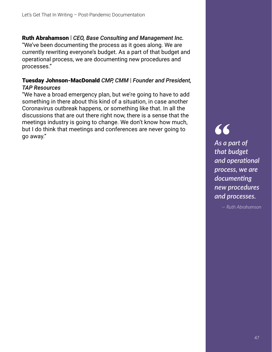Ruth Abrahamson | *CEO, Base Consulting and Management Inc.* "We've been documenting the process as it goes along. We are currently rewriting everyone's budget. As a part of that budget and operational process, we are documenting new procedures and processes."

#### Tuesday Johnson-MacDonald *CMP, CMM* | *Founder and President, TAP Resources*

"We have a broad emergency plan, but we're going to have to add something in there about this kind of a situation, in case another Coronavirus outbreak happens, or something like that. In all the discussions that are out there right now, there is a sense that the meetings industry is going to change. We don't know how much, but I do think that meetings and conferences are never going to go away."

**"** *As a part of that budget and operaࢼ onal process, we are documenting new procedures and processes.*

*— Ruth Abrahamson*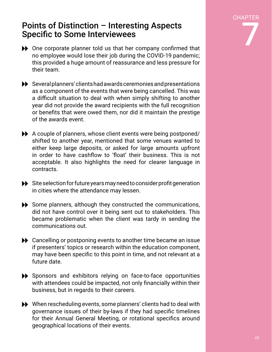CHAPTER 7

#### Points of Distinction – Interesting Aspects Specific to Some Interviewees

- $\blacktriangleright$  One corporate planner told us that her company confirmed that no employee would lose their job during the COVID-19 pandemic; this provided a huge amount of reassurance and less pressure for their team.
- Several planners' clients had awards ceremonies and presentations as a component of the events that were being cancelled. This was a difficult situation to deal with when simply shifting to another year did not provide the award recipients with the full recognition or benefits that were owed them, nor did it maintain the prestige of the awards event.
- A couple of planners, whose client events were being postponed/ shifted to another year, mentioned that some venues wanted to either keep large deposits, or asked for large amounts upfront in order to have cashflow to 'float' their business. This is not acceptable. It also highlights the need for clearer language in contracts.
- $\blacktriangleright$  Site selection for future years may need to consider profit generation in cities where the attendance may lessen.
- $\blacktriangleright$  Some planners, although they constructed the communications, did not have control over it being sent out to stakeholders. This became problematic when the client was tardy in sending the communications out.
- ◆ Cancelling or postponing events to another time became an issue if presenters' topics or research within the education component, may have been specific to this point in time, and not relevant at a future date.
- Sponsors and exhibitors relying on face-to-face opportunities with attendees could be impacted, not only financially within their business, but in regards to their careers.
- When rescheduling events, some planners' clients had to deal with governance issues of their by-laws if they had specific timelines for their Annual General Meeting, or rotational specifics around geographical locations of their events.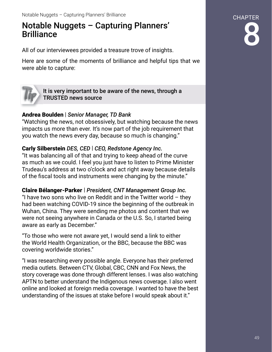### Notable Nuggets – Capturing Planners' **Brilliance**

All of our interviewees provided a treasure trove of insights.

Here are some of the moments of brilliance and helpful tips that we were able to capture:



It is very important to be aware of the news, through a TRUSTED news source

#### Andrea Boulden | *Senior Manager, TD Bank*

"Watching the news, not obsessively, but watching because the news impacts us more than ever. It's now part of the job requirement that you watch the news every day, because so much is changing."

#### Carly Silberstein *DES, CED* | *CEO, Redstone Agency Inc.*

"It was balancing all of that and trying to keep ahead of the curve as much as we could. I feel you just have to listen to Prime Minister Trudeau's address at two o'clock and act right away because details of the fiscal tools and instruments were changing by the minute."

Claire Bélanger-Parker | *President, CNT Management Group Inc.*

"I have two sons who live on Reddit and in the Twitter world  $-$  they had been watching COVID-19 since the beginning of the outbreak in Wuhan, China. They were sending me photos and content that we were not seeing anywhere in Canada or the U.S. So, I started being aware as early as December."

"To those who were not aware yet, I would send a link to either the World Health Organization, or the BBC, because the BBC was covering worldwide stories."

"I was researching every possible angle. Everyone has their preferred media outlets. Between CTV, Global, CBC, CNN and Fox News, the story coverage was done through different lenses. I was also watching APTN to better understand the Indigenous news coverage. I also went online and looked at foreign media coverage. I wanted to have the best understanding of the issues at stake before I would speak about it."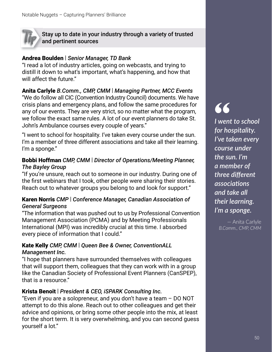Stay up to date in your industry through a variety of trusted and pertinent sources

#### Andrea Boulden | *Senior Manager, TD Bank*

"I read a lot of industry articles, going on webcasts, and trying to distill it down to what's important, what's happening, and how that will affect the future."

#### Anita Carlyle *B.Comm., CMP, CMM* | *Managing Partner, MCC Events*

"We do follow all CIC (Convention Industry Council) documents. We have crisis plans and emergency plans, and follow the same procedures for any of our events. They are very strict, so no matter what the program, we follow the exact same rules. A lot of our event planners do take St. John's Ambulance courses every couple of years."

"I went to school for hospitality. I've taken every course under the sun. I'm a member of three different associations and take all their learning. I'm a sponge."

#### Bobbi Hoffman *CMP, CMM* | *Director of Operations/Meeting Planner, The Bayley Group*

"If you're unsure, reach out to someone in our industry. During one of the first webinars that I took, other people were sharing their stories. Reach out to whatever groups you belong to and look for support."

#### Karen Norris *CMP* | *Conference Manager, Canadian Association of General Surgeons*

"The information that was pushed out to us by Professional Convention Management Association (PCMA) and by Meeting Professionals International (MPI) was incredibly crucial at this time. I absorbed every piece of information that I could."

#### Kate Kelly *CMP, CMM* | *Queen Bee & Owner, ConventionALL Management Inc.*

"I hope that planners have surrounded themselves with colleagues that will support them, colleagues that they can work with in a group like the Canadian Society of Professional Event Planners (CanSPEP), that is a resource."

#### Krista Benoit | *President & CEO, iSPARK Consulting Inc.*

"Even if you are a solopreneur, and you don't have a team – DO NOT attempt to do this alone. Reach out to other colleagues and get their advice and opinions, or bring some other people into the mix, at least for the short term. It is very overwhelming, and you can second guess yourself a lot."

#### **"** *I went to school for hospitality. I've taken every course under the sun. I'm a member of three diff erent associaࢼ ons and take all their learning. I'm a sponge.*

— Anita Carlyle *B.Comm., CMP, CMM*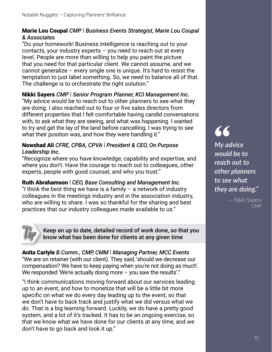#### Marie Lou Coupal *CMP* | *Business Events Strategist, Marie Lou Coupal & Associates*

"Do your homework! Business intelligence is reaching out to your contacts, your industry experts – you need to reach out at every level. People are more than willing to help you paint the picture that you need for that particular client. We cannot assume, and we cannot generalize – every single one is unique. It's hard to resist the temptation to just label something. So, we need to balance all of that. The challenge is to orchestrate the right solution."

Nikki Sayers *CMP* | *Senior Program Planner, KCI Management Inc.* "My advice would be to reach out to other planners to see what they are doing. I also reached out to four or five sales directors from different properties that I felt comfortable having candid conversations with, to ask what they are seeing, and what was happening. I wanted to try and get the lay of the land before cancelling. I was trying to see what their position was, and how they were handling it."

#### Nowshad Ali *CFRE, CPBA, CPVA* | *President & CEO, On Purpose Leadership Inc.*

"Recognize where you have knowledge, capability and expertise, and where you don't. Have the courage to reach out to colleagues, other experts, people with good counsel, and who you trust."

Ruth Abrahamson | *CEO, Base Consulting and Management Inc.* "I think the best thing we have is a family  $-$  a network of industry colleagues in the meetings industry and in the association industry, who are willing to share. I was so thankful for the sharing and best practices that our industry colleagues made available to us."



Keep an up to date, detailed record of work done, so that you know what has been done for clients at any given time

Anita Carlyle *B.Comm., CMP, CMM* | *Managing Partner, MCC Events* "We are on retainer (with our client). They said, 'should we decrease our compensation? We have to keep paying when you're not doing as much'. We responded 'We're actually doing more – you saw the results'."

"I think communications moving forward about our services leading up to an event, and how to monetize that will be a little bit more specific on what we do every day leading up to the event, so that we don't have to back track and justify what we did versus what we do. That is a big learning forward. Luckily, we do have a pretty good system, and a lot of it's tracked. It has to be an ongoing exercise, so that we know what we have done for our clients at any time, and we don't have to go back and look it up."

## **"**

*My advice would be to reach out to other planners to see what they are doing."*

> — Nikki Sayers *CMP*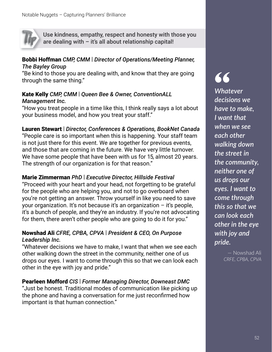

Use kindness, empathy, respect and honesty with those you are dealing with  $-$  it's all about relationship capital!

#### Bobbi Hoffman *CMP, CMM* | *Director of Operations/Meeting Planner, The Bayley Group*

"Be kind to those you are dealing with, and know that they are going through the same thing."

#### Kate Kelly *CMP, CMM* | *Queen Bee & Owner, ConventionALL Management Inc.*

"How you treat people in a time like this, I think really says a lot about your business model, and how you treat your staff."

#### Lauren Stewart | *Director, Conferences & Operations, BookNet Canada*

"People care is so important when this is happening. Your staff team is not just there for this event. We are together for previous events, and those that are coming in the future. We have very little turnover. We have some people that have been with us for 15, almost 20 years. The strength of our organization is for that reason."

#### Marie Zimmerman *PhD* | *Executive Director, Hillside Festival*

"Proceed with your heart and your head, not forgetting to be grateful for the people who are helping you, and not to go overboard when you're not getting an answer. Throw yourself in like you need to save your organization. It's not because it's an organization – it's people, it's a bunch of people, and they're an industry. If you're not advocating for them, there aren't other people who are going to do it for you."

#### Nowshad Ali *CFRE, CPBA, CPVA* | *President & CEO, On Purpose Leadership Inc.*

"Whatever decisions we have to make, I want that when we see each other walking down the street in the community, neither one of us drops our eyes. I want to come through this so that we can look each other in the eye with joy and pride."

#### Pearleen Mofford *CIS* | *Former Managing Director, Downeast DMC*

"Just be honest. Traditional modes of communication like picking up the phone and having a conversation for me just reconfirmed how important is that human connection."

## **"** *Whatever*

*decisions we have to make, I want that when we see each other walking down the street in the community, neither one of us drops our eyes. I want to come through this so that we can look each other in the eye with joy and pride.*

> — Nowshad Ali *CRFE, CPBA, CPVA*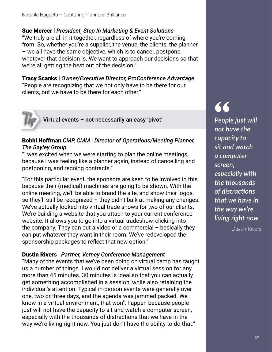Sue Mercer | *President, Step In Marketing & Event Solutions* "We truly are all in it together, regardless of where you're coming from. So, whether you're a supplier, the venue, the clients, the planner – we all have the same objective, which is to cancel, postpone, whatever that decision is. We want to approach our decisions so that we're all getting the best out of the decision."

Tracy Scanks | *Owner/Executive Director, ProConference Advantage* "People are recognizing that we not only have to be there for our clients, but we have to be there for each other."



Virtual events – not necessarily an easy 'pivot'

#### Bobbi Hoffman *CMP, CMM* | *Director of Operations/Meeting Planner, The Bayley Group*

"I was excited when we were starting to plan the online meetings, because I was feeling like a planner again, instead of cancelling and postponing, and redoing contracts."

"For this particular event, the sponsors are keen to be involved in this, because their (medical) machines are going to be shown. With the online meeting, we'll be able to brand the site, and show their logos, so they'll still be recognized – they didn't balk at making any changes. We've actually looked into virtual trade shows for two of our clients. We're building a website that you attach to your current conference website. It allows you to go into a virtual tradeshow, clicking into the company. They can put a video or a commercial – basically they can put whatever they want in their room. We've redeveloped the sponsorship packages to reflect that new option."

#### Dustin Rivers | *Partner, Verney Conference Management*

"Many of the events that we've been doing on virtual camp has taught us a number of things. I would not deliver a virtual session for any more than 45 minutes. 30 minutes is ideal,so that you can actually get something accomplished in a session, while also retaining the individual's attention. Typical in-person events were generally over one, two or three days, and the agenda was jammed packed. We know in a virtual environment, that won't happen because people just will not have the capacity to sit and watch a computer screen, especially with the thousands of distractions that we have in the way we're living right now. You just don't have the ability to do that."

## **"**

*People just will not have the capacity to sit and watch a computer screen, especially with the thousands of distracࢼ ons that we have in the way we're living right now.*

— Dustin Rivers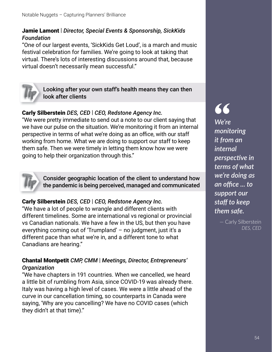#### Jamie Lamont | *Director, Special Events & Sponsorship, SickKids Foundation*

"One of our largest events, 'SickKids Get Loud', is a march and music festival celebration for families. We're going to look at taking that virtual. There's lots of interesting discussions around that, because virtual doesn't necessarily mean successful."



Looking after your own staff's health means they can then look after clients

#### Carly Silberstein *DES, CED* | *CEO, Redstone Agency Inc.*

"We were pretty immediate to send out a note to our client saying that we have our pulse on the situation. We're monitoring it from an internal perspective in terms of what we're doing as an office, with our staff working from home. What we are doing to support our staff to keep them safe. Then we were timely in letting them know how we were going to help their organization through this."



Consider geographic location of the client to understand how the pandemic is being perceived, managed and communicated

#### Carly Silberstein *DES, CED* | *CEO, Redstone Agency Inc.*

"We have a lot of people to wrangle and different clients with different timelines. Some are international vs regional or provincial vs Canadian nationals. We have a few in the US, but then you have everything coming out of 'Trumpland' – no judgment, just it's a different pace than what we're in, and a different tone to what Canadians are hearing."

#### Chantal Montpetit *CMP, CMM* | *Meetings, Director, Entrepreneurs' Organization*

"We have chapters in 191 countries. When we cancelled, we heard a little bit of rumbling from Asia, since COVID-19 was already there. Italy was having a high level of cases. We were a little ahead of the curve in our cancellation timing, so counterparts in Canada were saying, 'Why are you cancelling? We have no COVID cases (which they didn't at that time)."

**"** *We're monitoring it from an internal perspective* in *terms of what we're doing as an offi ce ... to support our staff to keep them safe.*

> — Carly Silberstein *DES, CED*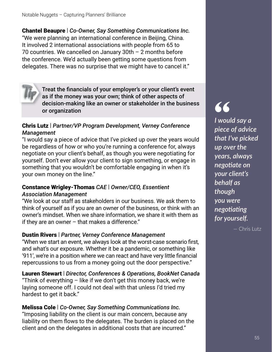Chantel Beaupre | *Co-Owner, Say Something Communications Inc.* "We were planning an international conference in Beijing, China. It involved 2 international associations with people from 65 to 70 countries. We cancelled on January 30th – 2 months before the conference. We'd actually been getting some questions from delegates. There was no surprise that we might have to cancel it."



Treat the financials of your employer's or your client's event as if the money was your own; think of other aspects of decision-making like an owner or stakeholder in the business or organization

#### Chris Lutz | *Partner/VP Program Development, Verney Conference Management*

"I would say a piece of advice that I've picked up over the years would be regardless of how or who you're running a conference for, always negotiate on your client's behalf, as though you were negotiating for yourself. Don't ever allow your client to sign something, or engage in something that you wouldn't be comfortable engaging in when it's your own money on the line."

#### Constance Wrigley-Thomas *CAE* | *Owner/CEO, Essentient Association Management*

"We look at our staff as stakeholders in our business. We ask them to think of yourself as if you are an owner of the business, or think with an owner's mindset. When we share information, we share it with them as if they are an owner  $-$  that makes a difference."

#### Dustin Rivers | *Partner, Verney Conference Management*

"When we start an event, we always look at the worst-case scenario first, and what's our exposure. Whether it be a pandemic, or something like '911', we're in a position where we can react and have very little financial repercussions to us from a money going out the door perspective."

Lauren Stewart | *Director, Conferences & Operations, BookNet Canada* "Think of everything – like if we don't get this money back, we're

laying someone off. I could not deal with that unless I'd tried my hardest to get it back."

#### Melissa Cole | *Co-Owner, Say Something Communications Inc.*

"Imposing liability on the client is our main concern, because any liability on them flows to the delegates. The burden is placed on the client and on the delegates in additional costs that are incurred."

## **"**

*I would say a piece of advice that I've picked up over the years, always negotiate on your client's behalf as though you were negotiating for yourself.*

— Chris Lutz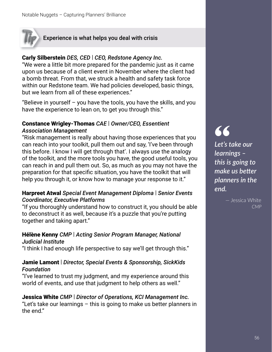#### Experience is what helps you deal with crisis

#### Carly Silberstein *DES, CED* | *CEO, Redstone Agency Inc.*

"We were a little bit more prepared for the pandemic just as it came upon us because of a client event in November where the client had a bomb threat. From that, we struck a health and safety task force within our Redstone team. We had policies developed, basic things, but we learn from all of these experiences."

"Believe in yourself – you have the tools, you have the skills, and you have the experience to lean on, to get you through this."

#### Constance Wrigley-Thomas *CAE* | *Owner/CEO, Essentient Association Management*

"Risk management is really about having those experiences that you can reach into your toolkit, pull them out and say, 'I've been through this before. I know I will get through that'. I always use the analogy of the toolkit, and the more tools you have, the good useful tools, you can reach in and pull them out. So, as much as you may not have the preparation for that specific situation, you have the toolkit that will help you through it, or know how to manage your response to it."

#### Harpreet Atwal *Special Event Management Diploma* | *Senior Events Coordinator, Executive Platforms*

"If you thoroughly understand how to construct it, you should be able to deconstruct it as well, because it's a puzzle that you're putting together and taking apart."

#### Hélène Kenny *CMP* | *Acting Senior Program Manager, National*

*Judicial Institute*

"I think I had enough life perspective to say we'll get through this."

#### Jamie Lamont | *Director, Special Events & Sponsorship, SickKids Foundation*

"I've learned to trust my judgment, and my experience around this world of events, and use that judgment to help others as well."

#### Jessica White *CMP* | *Director of Operations, KCI Management Inc.* "Let's take our learnings – this is going to make us better planners in the end."

**"** *Let's take our learnings – this is going to*  make us better *planners in the end.*

> — Jessica White *CMP*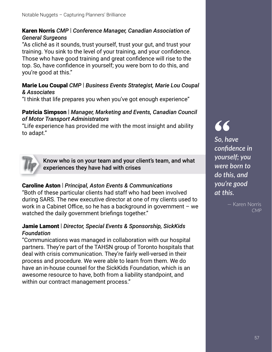#### Karen Norris *CMP* | *Conference Manager, Canadian Association of General Surgeons*

"As cliché as it sounds, trust yourself, trust your gut, and trust your training. You sink to the level of your training, and your confidence. Those who have good training and great confidence will rise to the top. So, have confidence in yourself; you were born to do this, and you're good at this."

#### Marie Lou Coupal *CMP* | *Business Events Strategist, Marie Lou Coupal & Associates*

"I think that life prepares you when you've got enough experience"

#### Patricia Simpson | *Manager, Marketing and Events, Canadian Council of Motor Transport Administrators*

"Life experience has provided me with the most insight and ability to adapt."



Know who is on your team and your client's team, and what experiences they have had with crises

#### Caroline Aston | *Principal, Aston Events & Communications*

"Both of these particular clients had staff who had been involved during SARS. The new executive director at one of my clients used to work in a Cabinet Office, so he has a background in government  $-$  we watched the daily government briefings together."

#### Jamie Lamont | *Director, Special Events & Sponsorship, SickKids Foundation*

"Communications was managed in collaboration with our hospital partners. They're part of the TAHSN group of Toronto hospitals that deal with crisis communication. They're fairly well-versed in their process and procedure. We were able to learn from them. We do have an in-house counsel for the SickKids Foundation, which is an awesome resource to have, both from a liability standpoint, and within our contract management process."

## **"**

*So, have confi dence in yourself; you were born to do this, and you're good at this.*

> — Karen Norris *CMP*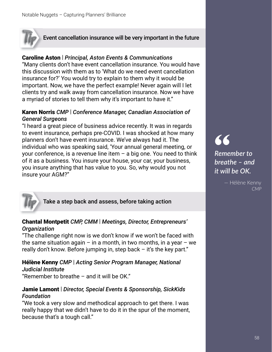

#### Event cancellation insurance will be very important in the future

#### Caroline Aston | *Principal, Aston Events & Communications*

"Many clients don't have event cancellation insurance. You would have this discussion with them as to 'What do we need event cancellation insurance for?' You would try to explain to them why it would be important. Now, we have the perfect example! Never again will I let clients try and walk away from cancellation insurance. Now we have a myriad of stories to tell them why it's important to have it."

#### Karen Norris *CMP* | *Conference Manager, Canadian Association of General Surgeons*

"I heard a great piece of business advice recently. It was in regards to event insurance, perhaps pre-COVID. I was shocked at how many planners don't have event insurance. We've always had it. The individual who was speaking said, 'Your annual general meeting, or your conference, is a revenue line item  $-$  a big one. You need to think of it as a business. You insure your house, your car, your business, you insure anything that has value to you. So, why would you not insure your AGM?"



Take a step back and assess, before taking action

#### Chantal Montpetit *CMP, CMM* | *Meetings, Director, Entrepreneurs' Organization*

"The challenge right now is we don't know if we won't be faced with the same situation again – in a month, in two months, in a year – we really don't know. Before jumping in, step back  $-$  it's the key part."

#### Hélène Kenny *CMP* | *Acting Senior Program Manager, National Judicial Institute*

"Remember to breathe – and it will be OK."

#### Jamie Lamont | *Director, Special Events & Sponsorship, SickKids Foundation*

"We took a very slow and methodical approach to get there. I was really happy that we didn't have to do it in the spur of the moment, because that's a tough call."

**"** *Remember to breathe – and it will be OK.*

> — Hélène Kenny *CMP*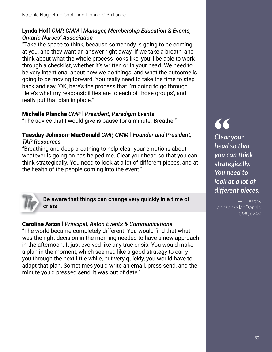#### Lynda Hoff *CMP, CMM* | *Manager, Membership Education & Events, Ontario Nurses' Association*

"Take the space to think, because somebody is going to be coming at you, and they want an answer right away. If we take a breath, and think about what the whole process looks like, you'll be able to work through a checklist, whether it's written or in your head. We need to be very intentional about how we do things, and what the outcome is going to be moving forward. You really need to take the time to step back and say, 'OK, here's the process that I'm going to go through. Here's what my responsibilities are to each of those groups', and really put that plan in place."

#### Michelle Planche *CMP* | *President, Paradigm Events*

"The advice that I would give is pause for a minute. Breathe!"

#### Tuesday Johnson-MacDonald *CMP, CMM* | *Founder and President, TAP Resources*

"Breathing and deep breathing to help clear your emotions about whatever is going on has helped me. Clear your head so that you can think strategically. You need to look at a lot of different pieces, and at the health of the people coming into the event."



Be aware that things can change very quickly in a time of crisis

#### Caroline Aston | *Principal, Aston Events & Communications*

"The world became completely different. You would find that what was the right decision in the morning needed to have a new approach in the afternoon. It just evolved like any true crisis. You would make a plan in the moment, which seemed like a good strategy to carry you through the next little while, but very quickly, you would have to adapt that plan. Sometimes you'd write an email, press send, and the minute you'd pressed send, it was out of date."

## **"**

*Clear your head so that you can think strategically. You need to look at a lot of diff erent pieces.*

— Tuesday Johnson-MacDonald *CMP, CMM*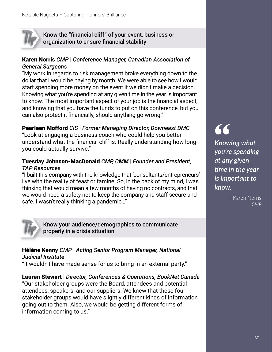

Know the "financial cliff" of your event, business or organization to ensure financial stability

#### Karen Norris *CMP* | *Conference Manager, Canadian Association of General Surgeons*

"My work in regards to risk management broke everything down to the dollar that I would be paying by month. We were able to see how I would start spending more money on the event if we didn't make a decision. Knowing what you're spending at any given time in the year is important to know. The most important aspect of your job is the financial aspect, and knowing that you have the funds to put on this conference, but you can also protect it financially, should anything go wrong."

#### Pearleen Mofford *CIS* | *Former Managing Director, Downeast DMC*

"Look at engaging a business coach who could help you better understand what the financial cliff is. Really understanding how long you could actually survive."

#### Tuesday Johnson-MacDonald *CMP, CMM* | *Founder and President, TAP Resources*

"I built this company with the knowledge that 'consultants/entrepreneurs' live with the reality of feast or famine. So, in the back of my mind, I was thinking that would mean a few months of having no contracts, and that we would need a safety net to keep the company and staff secure and safe. I wasn't really thinking a pandemic…"



Know your audience/demographics to communicate properly in a crisis situation

#### Hélène Kenny *CMP* | *Acting Senior Program Manager, National Judicial Institute*

"It wouldn't have made sense for us to bring in an external party."

Lauren Stewart | *Director, Conferences & Operations, BookNet Canada* "Our stakeholder groups were the Board, attendees and potential attendees, speakers, and our suppliers. We knew that these four stakeholder groups would have slightly different kinds of information going out to them. Also, we would be getting different forms of information coming to us."

**"** *Knowing what you're spending at any given ࢼ me in the year is important to know.*

> — Karen Norris *CMP*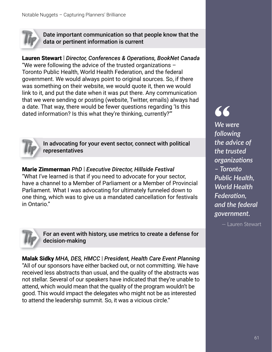

Date important communication so that people know that the data or pertinent information is current

#### Lauren Stewart | *Director, Conferences & Operations, BookNet Canada*

"We were following the advice of the trusted organizations  $-$ Toronto Public Health, World Health Federation, and the federal government. We would always point to original sources. So, if there was something on their website, we would quote it, then we would link to it, and put the date when it was put there. Any communication that we were sending or posting (website, Twitter, emails) always had a date. That way, there would be fewer questions regarding 'Is this dated information? Is this what they're thinking, currently?'"



In advocating for your event sector, connect with political representatives

Marie Zimmerman *PhD* | *Executive Director, Hillside Festival* "What I've learned is that if you need to advocate for your sector, have a channel to a Member of Parliament or a Member of Provincial Parliament. What I was advocating for ultimately funneled down to one thing, which was to give us a mandated cancellation for festivals in Ontario."



For an event with history, use metrics to create a defense for decision-making

Malak Sidky *MHA, DES, HMCC* | *President, Health Care Event Planning* "All of our sponsors have either backed out, or not committing. We have received less abstracts than usual, and the quality of the abstracts was not stellar. Several of our speakers have indicated that they're unable to attend, which would mean that the quality of the program wouldn't be good. This would impact the delegates who might not be as interested to attend the leadership summit. So, it was a vicious circle."

**"** *We were following the advice of the trusted organizaࢼ ons – Toronto Public Health, World Health Federation. and the federal government.*

— Lauren Stewart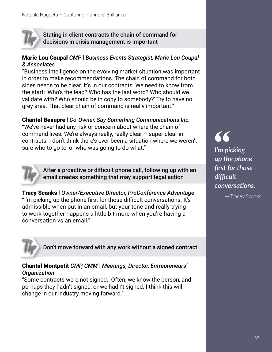

Stating in client contracts the chain of command for decisions in crisis management is important

#### Marie Lou Coupal *CMP* | *Business Events Strategist, Marie Lou Coupal & Associates*

"Business intelligence on the evolving market situation was important in order to make recommendations. The chain of command for both sides needs to be clear. It's in our contracts. We need to know from the start: 'Who's the lead? Who has the last word? Who should we validate with? Who should be in copy to somebody?' Try to have no grey area. That clear chain of command is really important."

#### Chantel Beaupre | *Co-Owner, Say Something Communications Inc.*

"We've never had any risk or concern about where the chain of command lives. We're always really, really clear – super clear in contracts. I don't think there's ever been a situation where we weren't sure who to go to, or who was going to do what."



After a proactive or difficult phone call, following up with an email creates something that may support legal action

Tracy Scanks | *Owner/Executive Director, ProConference Advantage* "I'm picking up the phone first for those difficult conversations. It's admissible when put in an email, but your tone and really trying to work together happens a little bit more when you're having a conversation vs an email."



Don't move forward with any work without a signed contract

#### Chantal Montpetit *CMP, CMM* | *Meetings, Director, Entrepreneurs' Organization*

"Some contracts were not signed. Often, we know the person, and perhaps they hadn't signed, or we hadn't signed. I think this will change in our industry moving forward."

**"** *I'm picking up the phone*  first for those *diffi cult conversaࢼ ons.*

— Tracey Scanks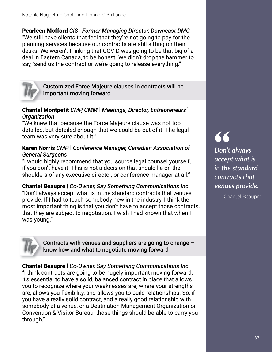Pearleen Mofford *CIS* | *Former Managing Director, Downeast DMC* "We still have clients that feel that they're not going to pay for the planning services because our contracts are still sitting on their desks. We weren't thinking that COVID was going to be that big of a deal in Eastern Canada, to be honest. We didn't drop the hammer to say, 'send us the contract or we're going to release everything."



Customized Force Majeure clauses in contracts will be important moving forward

#### Chantal Montpetit *CMP, CMM* | *Meetings, Director, Entrepreneurs' Organization*

"We knew that because the Force Majeure clause was not too detailed, but detailed enough that we could be out of it. The legal team was very sure about it."

#### Karen Norris *CMP* | *Conference Manager, Canadian Association of General Surgeons*

"I would highly recommend that you source legal counsel yourself, if you don't have it. This is not a decision that should lie on the shoulders of any executive director, or conference manager at all."

Chantel Beaupre | *Co-Owner, Say Something Communications Inc.* "Don't always accept what is in the standard contracts that venues provide. If I had to teach somebody new in the industry, I think the most important thing is that you don't have to accept those contracts, that they are subject to negotiation. I wish I had known that when I was young."



Contracts with venues and suppliers are going to change – know how and what to negotiate moving forward

Chantel Beaupre | *Co-Owner, Say Something Communications Inc.* "I think contracts are going to be hugely important moving forward. It's essential to have a solid, balanced contract in place that allows you to recognize where your weaknesses are, where your strengths are, allows you flexibility, and allows you to build relationships. So, if you have a really solid contract, and a really good relationship with somebody at a venue, or a Destination Management Organization or Convention & Visitor Bureau, those things should be able to carry you through."

**"** *Don't always accept what is in the standard contracts that venues provide.*

— Chantel Beaupre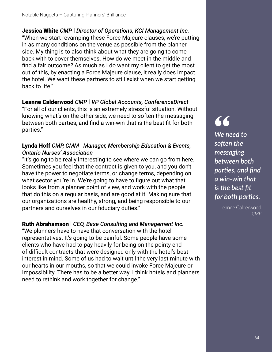Jessica White *CMP* | *Director of Operations, KCI Management Inc.* "When we start revamping these Force Majeure clauses, we're putting in as many conditions on the venue as possible from the planner side. My thing is to also think about what they are going to come back with to cover themselves. How do we meet in the middle and find a fair outcome? As much as I do want my client to get the most out of this, by enacting a Force Majeure clause, it really does impact the hotel. We want these partners to still exist when we start getting back to life."

Leanne Calderwood *CMP* | *VP Global Accounts, ConferenceDirect* "For all of our clients, this is an extremely stressful situation. Without knowing what's on the other side, we need to soften the messaging between both parties, and find a win-win that is the best fit for both parties."

#### Lynda Hoff *CMP, CMM* | *Manager, Membership Education & Events, Ontario Nurses' Association*

"It's going to be really interesting to see where we can go from here. Sometimes you feel that the contract is given to you, and you don't have the power to negotiate terms, or change terms, depending on what sector you're in. We're going to have to figure out what that looks like from a planner point of view, and work with the people that do this on a regular basis, and are good at it. Making sure that our organizations are healthy, strong, and being responsible to our partners and ourselves in our fiduciary duties."

#### Ruth Abrahamson | *CEO, Base Consulting and Management Inc.*

"We planners have to have that conversation with the hotel representatives. It's going to be painful. Some people have some clients who have had to pay heavily for being on the pointy end of difficult contracts that were designed only with the hotel's best interest in mind. Some of us had to wait until the very last minute with our hearts in our mouths, so that we could invoke Force Majeure or Impossibility. There has to be a better way. I think hotels and planners need to rethink and work together for change."

## **"**

*We need to so[ en the messaging between both parties, and find a win-win that is the best fit for both parties.* 

— Leanne Calderwood *CMP*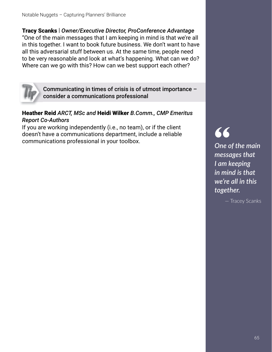Tracy Scanks | *Owner/Executive Director, ProConference Advantage* "One of the main messages that I am keeping in mind is that we're all in this together. I want to book future business. We don't want to have all this adversarial stuff between us. At the same time, people need to be very reasonable and look at what's happening. What can we do? Where can we go with this? How can we best support each other?



Communicating in times of crisis is of utmost importance – consider a communications professional

#### Heather Reid *ARCT, MSc and* Heidi Wilker *B.Comm., CMP Emeritus Report Co-Authors*

If you are working independently (i.e., no team), or if the client doesn't have a communications department, include a reliable communications professional in your toolbox.

**"** *One of the main messages that I am keeping in mind is that we're all in this together.*

— Tracey Scanks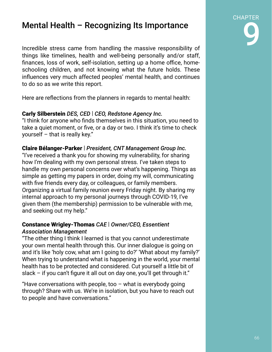### Mental Health – Recognizing Its Importance

Incredible stress came from handling the massive responsibility of things like timelines, health and well-being personally and/or staff, finances, loss of work, self-isolation, setting up a home office, homeschooling children, and not knowing what the future holds. These influences very much affected peoples' mental health, and continues to do so as we write this report.

Here are reflections from the planners in regards to mental health:

#### Carly Silberstein *DES, CED* | *CEO, Redstone Agency Inc.*

"I think for anyone who finds themselves in this situation, you need to take a quiet moment, or five, or a day or two. I think it's time to check yourself – that is really key."

Claire Bélanger-Parker | *President, CNT Management Group Inc.* "I've received a thank you for showing my vulnerability, for sharing how I'm dealing with my own personal stress. I've taken steps to handle my own personal concerns over what's happening. Things as simple as getting my papers in order, doing my will, communicating with five friends every day, or colleagues, or family members. Organizing a virtual family reunion every Friday night. By sharing my internal approach to my personal journeys through COVID-19, I've given them (the membership) permission to be vulnerable with me, and seeking out my help."

#### Constance Wrigley-Thomas *CAE* | *Owner/CEO, Essentient Association Management*

"The other thing I think I learned is that you cannot underestimate your own mental health through this. Our inner dialogue is going on and it's like 'holy cow, what am I going to do?' 'What about my family?' When trying to understand what is happening in the world, your mental health has to be protected and considered. Cut yourself a little bit of slack – if you can't figure it all out on day one, you'll get through it."

"Have conversations with people, too  $-$  what is everybody going through? Share with us. We're in isolation, but you have to reach out to people and have conversations."

# CHAPTER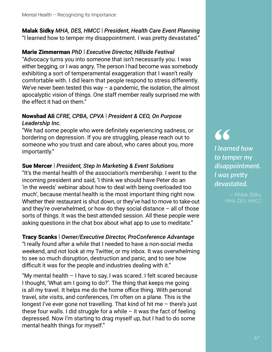#### Malak Sidky *MHA, DES, HMCC* | *President, Health Care Event Planning* "I learned how to temper my disappointment. I was pretty devastated."

Marie Zimmerman *PhD* | *Executive Director, Hillside Festival* "Advocacy turns you into someone that isn't necessarily you. I was either begging, or I was angry. The person I had become was somebody exhibiting a sort of temperamental exaggeration that I wasn't really comfortable with. I did learn that people respond to stress differently. We've never been tested this way  $-$  a pandemic, the isolation, the almost apocalyptic vision of things. One staff member really surprised me with the effect it had on them."

#### Nowshad Ali *CFRE, CPBA, CPVA* | *President & CEO, On Purpose Leadership Inc.*

"We had some people who were definitely experiencing sadness, or bordering on depression. If you are struggling, please reach out to someone who you trust and care about, who cares about you, more importantly."

#### Sue Mercer | *President, Step In Marketing & Event Solutions*

"It's the mental health of the association's membership. I went to the incoming president and said, 'I think we should have Peter do an 'in the weeds' webinar about how to deal with being overloaded too much', because mental health is the most important thing right now. Whether their restaurant is shut down, or they've had to move to take-out and they're overwhelmed, or how do they social distance – all of those sorts of things. It was the best attended session. All these people were asking questions in the chat box about what app to use to meditate."

#### Tracy Scanks | *Owner/Executive Director, ProConference Advantage* "I really found after a while that I needed to have a non-social media weekend, and not look at my Twitter, or my inbox. It was overwhelming to see so much disruption, destruction and panic, and to see how difficult it was for the people and industries dealing with it."

"My mental health – I have to say, I was scared. I felt scared because I thought, 'What am I going to do?'. The thing that keeps me going is all my travel. It helps me do the home office thing. With personal travel, site visits, and conferences, I'm often on a plane. This is the longest I've ever gone not travelling. That kind of hit me – there's just these four walls. I did struggle for a while  $-$  it was the fact of feeling depressed. Now I'm starting to drag myself up, but I had to do some mental health things for myself."

**66**<br>
I learn<br>
to ten<br>
.. *I learned how to temper my disappointment. I* was pretty *devastated.*

> — Malak Sidky *MHA, DES, HMCC*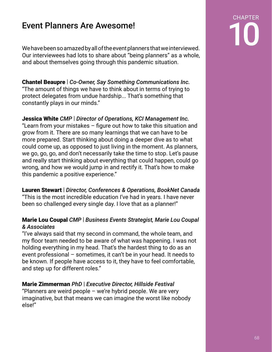Event Planners Are Awesome!<br>
We have been so amazed by all of the event planners that we interviewed. Our interviewees had lots to share about "being planners" as a whole, and about themselves going through this pandemic situation.

#### Chantel Beaupre | *Co-Owner, Say Something Communications Inc.*

"The amount of things we have to think about in terms of trying to protect delegates from undue hardship... That's something that constantly plays in our minds."

#### Jessica White *CMP* | *Director of Operations, KCI Management Inc.*

"Learn from your mistakes  $-$  figure out how to take this situation and grow from it. There are so many learnings that we can have to be more prepared. Start thinking about doing a deeper dive as to what could come up, as opposed to just living in the moment. As planners, we go, go, go, and don't necessarily take the time to stop. Let's pause and really start thinking about everything that could happen, could go wrong, and how we would jump in and rectify it. That's how to make this pandemic a positive experience."

#### Lauren Stewart | *Director, Conferences & Operations, BookNet Canada*

"This is the most incredible education I've had in years. I have never been so challenged every single day. I love that as a planner!"

#### Marie Lou Coupal *CMP* | *Business Events Strategist, Marie Lou Coupal & Associates*

"I've always said that my second in command, the whole team, and my floor team needed to be aware of what was happening. I was not holding everything in my head. That's the hardest thing to do as an event professional – sometimes, it can't be in your head. It needs to be known. If people have access to it, they have to feel comfortable, and step up for different roles."

#### Marie Zimmerman *PhD* | *Executive Director, Hillside Festival*

"Planners are weird people  $-$  we're hybrid people. We are very imaginative, but that means we can imagine the worst like nobody else!"

# CHAPTER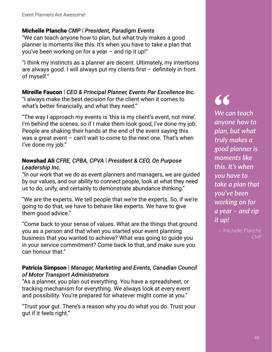#### Michelle Planche *CMP* | *President, Paradigm Events*

"We can teach anyone how to plan, but what truly makes a good planner is moments like this. It's when you have to take a plan that you've been working on for a year – and rip it up!"

"I think my instincts as a planner are decent. Ultimately, my intentions are always good. I will always put my clients first  $-$  definitely in front of myself."

#### Mireille Faucon | *CEO & Principal Planner, Events Par Excellence Inc.*

"I always make the best decision for the client when it comes to what's better financially, and what they need."

"The way I approach my events is 'this is my client's event, not mine'. I'm behind the scenes, so if I make them look good, I've done my job. People are shaking their hands at the end of the event saying this was a great event  $-$  can't wait to come to the next one. That's when I've done my job."

#### Nowshad Ali *CFRE, CPBA, CPVA* | *President & CEO, On Purpose Leadership Inc.*

"In our work that we do as event planners and managers, we are guided by our values, and our ability to connect people, look at what they need us to do, unify, and certainly to demonstrate abundance thinking."

"We are the experts. We tell people that we're the experts. So, if we're going to do that, we have to behave like experts. We have to give them good advice."

"Come back to your sense of values. What are the things that ground you as a person and that when you started your event planning business that you wanted to achieve? What was going to guide you in your service commitment? Come back to that, and make sure you can honour that."

#### Patricia Simpson | *Manager, Marketing and Events, Canadian Council of Motor Transport Administrators*

"As a planner, you plan out everything. You have a spreadsheet, or tracking mechanism for everything. We always look at every event and possibility. You're prepared for whatever might come at you."

"Trust your gut. There's a reason why you do what you do. Trust your gut if it feels right."

#### **"** *We can teach anyone how to plan, but what truly makes a good planner is moments like this. It's when you have to take a plan that you've been working on for a year – and rip it up!*

— Michelle Planche *CMP*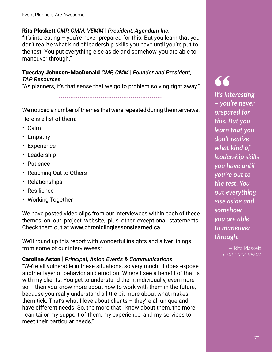#### Rita Plaskett *CMP, CMM, VEMM* | *President, Agendum Inc.*

"It's interesting – you're never prepared for this. But you learn that you don't realize what kind of leadership skills you have until you're put to the test. You put everything else aside and somehow, you are able to maneuver through."

#### Tuesday Johnson-MacDonald *CMP, CMM* | *Founder and President, TAP Resources*

"As planners, it's that sense that we go to problem solving right away."

.......................................................

We noticed a number of themes that were repeated during the interviews. Here is a list of them:

- Calm
- Empathy
- Experience
- Leadership
- Patience
- Reaching Out to Others
- Relationships
- Resilience
- Working Together

We have posted video clips from our interviewees within each of these themes on our project website, plus other exceptional statements. Check them out at www.chroniclinglessonslearned.ca

We'll round up this report with wonderful insights and silver linings from some of our interviewees:

#### Caroline Aston | *Principal, Aston Events & Communications*

"We're all vulnerable in these situations, so very much. It does expose another layer of behavior and emotion. Where I see a benefit of that is with my clients. You get to understand them, individually, even more so – then you know more about how to work with them in the future, because you really understand a little bit more about what makes them tick. That's what I love about clients – they're all unique and have different needs. So, the more that I know about them, the more I can tailor my support of them, my experience, and my services to meet their particular needs."

## **"**

*It's interesting – you're never prepared for this. But you learn that you don't realize what kind of leadership skills you have until you're put to the test. You put everything else aside and somehow, you are able to maneuver through.*

> — Rita Plaske *CMP, CMM, VEMM*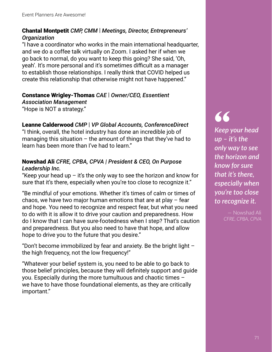#### Chantal Montpetit *CMP, CMM* | *Meetings, Director, Entrepreneurs' Organization*

"I have a coordinator who works in the main international headquarter, and we do a coffee talk virtually on Zoom. I asked her if when we go back to normal, do you want to keep this going? She said, 'Oh, yeah'. It's more personal and it's sometimes difficult as a manager to establish those relationships. I really think that COVID helped us create this relationship that otherwise might not have happened."

#### Constance Wrigley-Thomas *CAE* | *Owner/CEO, Essentient*

*Association Management* "Hope is NOT a strategy."

#### Leanne Calderwood *CMP* | *VP Global Accounts, ConferenceDirect*

"I think, overall, the hotel industry has done an incredible job of managing this situation – the amount of things that they've had to learn has been more than I've had to learn."

#### Nowshad Ali *CFRE, CPBA, CPVA | President & CEO, On Purpose Leadership Inc.*

"Keep your head up  $-$  it's the only way to see the horizon and know for sure that it's there, especially when you're too close to recognize it."

"Be mindful of your emotions. Whether it's times of calm or times of chaos, we have two major human emotions that are at play  $-$  fear and hope. You need to recognize and respect fear, but what you need to do with it is allow it to drive your caution and preparedness. How do I know that I can have sure-footedness when I step? That's caution and preparedness. But you also need to have that hope, and allow hope to drive you to the future that you desire."

"Don't become immobilized by fear and anxiety. Be the bright light  $$ the high frequency, not the low frequency!"

"Whatever your belief system is, you need to be able to go back to those belief principles, because they will definitely support and guide you. Especially during the more tumultuous and chaotic times – we have to have those foundational elements, as they are critically important."

## **"**

*Keep your head up – it's the only way to see the horizon and know for sure that it's there, especially when you're too close to recognize it.*

> — Nowshad Ali *CFRE, CPBA, CPVA*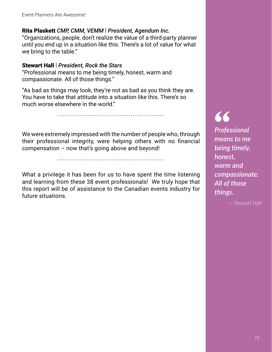#### Rita Plaskett *CMP, CMM, VEMM* | *President, Agendum Inc.*

"Organizations, people, don't realize the value of a third-party planner until you end up in a situation like this. There's a lot of value for what we bring to the table."

#### Stewart Hall | *President, Rock the Stars*

"Professional means to me being timely, honest, warm and compassionate. All of those things."

"As bad as things may look, they're not as bad as you think they are. You have to take that attitude into a situation like this. There's so much worse elsewhere in the world."

.........................................................

We were extremely impressed with the number of people who, through their professional integrity, were helping others with no financial compensation – now that's going above and beyond!

.........................................................

What a privilege it has been for us to have spent the time listening and learning from these 38 event professionals! We truly hope that this report will be of assistance to the Canadian events industry for future situations.

**66**<br>Profes<br>mean *Professional means to me being ࢼ mely, honest, warm and compassionate. All of those things.*

— Stewart Hall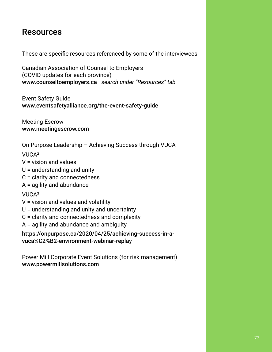## Resources

These are specific resources referenced by some of the interviewees:

Canadian Association of Counsel to Employers (COVID updates for each province) www.counseltoemployers.ca *search under "Resources" tab*

Event Safety Guide www.eventsafetyalliance.org/the-event-safety-guide

Meeting Escrow www.meetingescrow.com

On Purpose Leadership – Achieving Success through VUCA

VUCA²

- V = vision and values
- U = understanding and unity
- C = clarity and connectedness
- A = agility and abundance

## VUCA<sup>3</sup>

- V = vision and values and volatility
- U = understanding and unity and uncertainty
- C = clarity and connectedness and complexity
- A = agility and abundance and ambiguity

https://onpurpose.ca/2020/04/25/achieving-success-in-avuca%C2%B2-environment-webinar-replay

Power Mill Corporate Event Solutions (for risk management) www.powermillsolutions.com